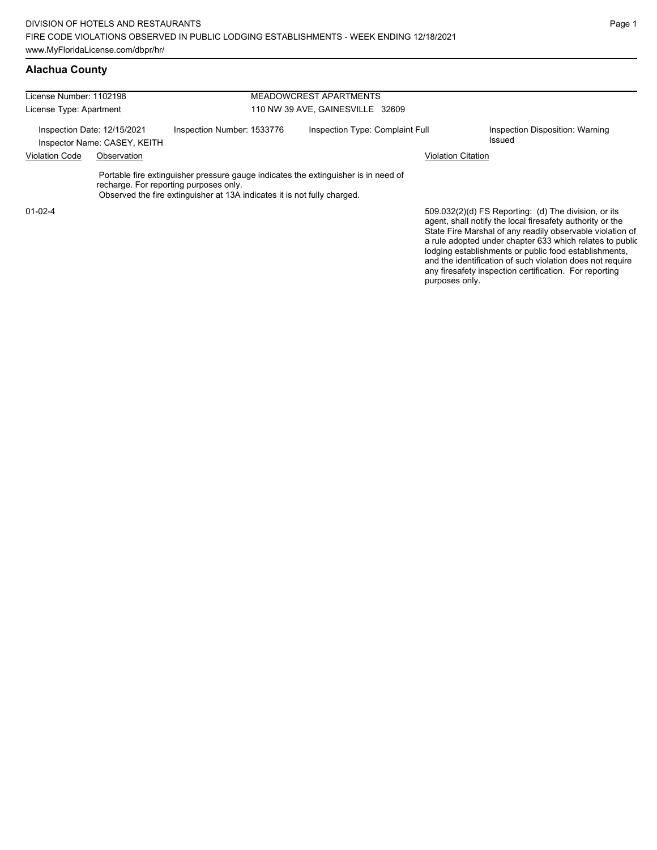## **Alachua County**

| License Number: 1102198                                     |             | <b>MEADOWCREST APARTMENTS</b>                                                                                      |                                  |                                                                                    |                           |                                                                                                                                                                                                                                                                                                                                                                  |  |
|-------------------------------------------------------------|-------------|--------------------------------------------------------------------------------------------------------------------|----------------------------------|------------------------------------------------------------------------------------|---------------------------|------------------------------------------------------------------------------------------------------------------------------------------------------------------------------------------------------------------------------------------------------------------------------------------------------------------------------------------------------------------|--|
| License Type: Apartment                                     |             |                                                                                                                    | 110 NW 39 AVE, GAINESVILLE 32609 |                                                                                    |                           |                                                                                                                                                                                                                                                                                                                                                                  |  |
| Inspection Date: 12/15/2021<br>Inspector Name: CASEY, KEITH |             | Inspection Number: 1533776                                                                                         |                                  | Inspection Type: Complaint Full                                                    |                           | Inspection Disposition: Warning<br>Issued                                                                                                                                                                                                                                                                                                                        |  |
| <b>Violation Code</b>                                       | Observation |                                                                                                                    |                                  |                                                                                    | <b>Violation Citation</b> |                                                                                                                                                                                                                                                                                                                                                                  |  |
|                                                             |             | recharge. For reporting purposes only.<br>Observed the fire extinguisher at 13A indicates it is not fully charged. |                                  | Portable fire extinguisher pressure gauge indicates the extinguisher is in need of |                           |                                                                                                                                                                                                                                                                                                                                                                  |  |
| $01-02-4$                                                   |             |                                                                                                                    |                                  |                                                                                    |                           | 509.032(2)(d) FS Reporting: (d) The division, or its<br>agent, shall notify the local firesafety authority or the<br>State Fire Marshal of any readily observable violation of<br>a rule adopted under chapter 633 which relates to public<br>lodging establishments or public food establishments,<br>and the identification of such violation does not require |  |

any firesafety inspection certification. For reporting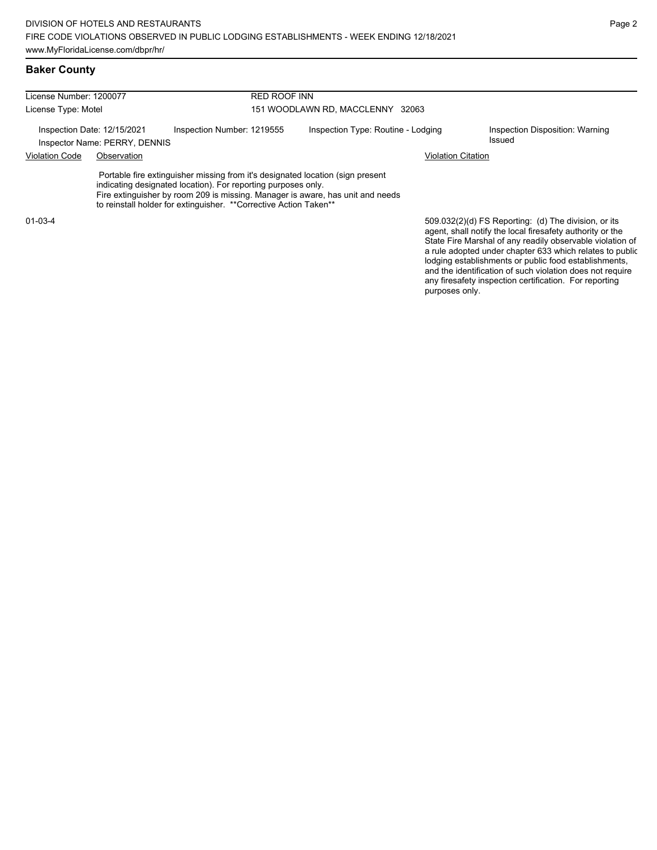|                                                              |  |                                                                                                                                                                                                                                                                                                         | <b>RED ROOF INN</b>                |                                                                                                                                                                                                                                                                                                                                                                  |  |  |  |
|--------------------------------------------------------------|--|---------------------------------------------------------------------------------------------------------------------------------------------------------------------------------------------------------------------------------------------------------------------------------------------------------|------------------------------------|------------------------------------------------------------------------------------------------------------------------------------------------------------------------------------------------------------------------------------------------------------------------------------------------------------------------------------------------------------------|--|--|--|
| License Number: 1200077                                      |  |                                                                                                                                                                                                                                                                                                         |                                    |                                                                                                                                                                                                                                                                                                                                                                  |  |  |  |
| License Type: Motel                                          |  |                                                                                                                                                                                                                                                                                                         | 151 WOODLAWN RD, MACCLENNY 32063   |                                                                                                                                                                                                                                                                                                                                                                  |  |  |  |
| Inspection Date: 12/15/2021<br>Inspector Name: PERRY, DENNIS |  | Inspection Number: 1219555                                                                                                                                                                                                                                                                              | Inspection Type: Routine - Lodging | Inspection Disposition: Warning<br>Issued                                                                                                                                                                                                                                                                                                                        |  |  |  |
| <b>Violation Code</b><br>Observation                         |  |                                                                                                                                                                                                                                                                                                         |                                    | <b>Violation Citation</b>                                                                                                                                                                                                                                                                                                                                        |  |  |  |
|                                                              |  | Portable fire extinguisher missing from it's designated location (sign present<br>indicating designated location). For reporting purposes only.<br>Fire extinguisher by room 209 is missing. Manager is aware, has unit and needs<br>to reinstall holder for extinguisher. ** Corrective Action Taken** |                                    |                                                                                                                                                                                                                                                                                                                                                                  |  |  |  |
| $01-03-4$                                                    |  |                                                                                                                                                                                                                                                                                                         |                                    | 509.032(2)(d) FS Reporting: (d) The division, or its<br>agent, shall notify the local firesafety authority or the<br>State Fire Marshal of any readily observable violation of<br>a rule adopted under chapter 633 which relates to public<br>lodging establishments or public food establishments,<br>and the identification of such violation does not require |  |  |  |

any firesafety inspection certification. For reporting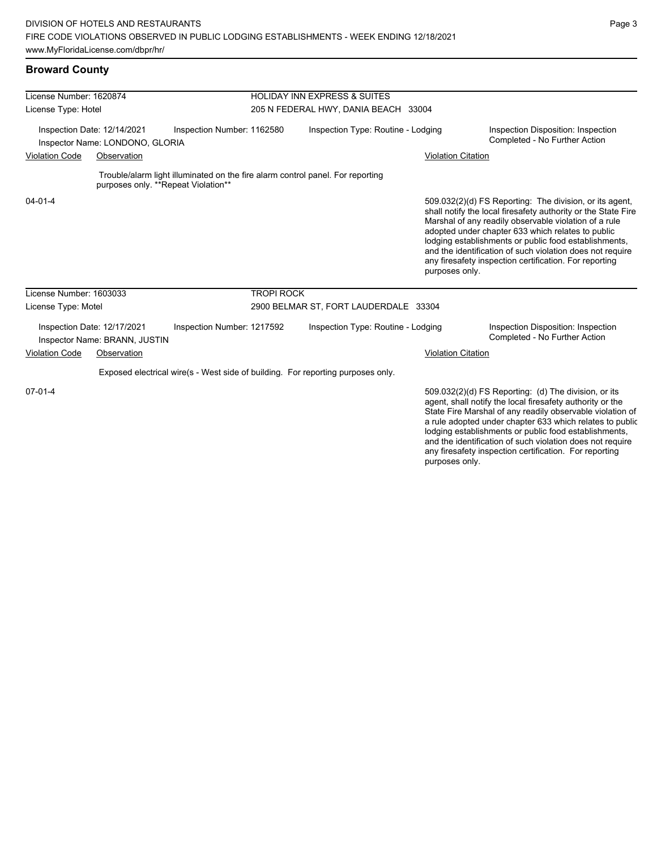# **Broward County**

| License Number: 1620874              |                                                                |                                                                                                                       | <b>HOLIDAY INN EXPRESS &amp; SUITES</b> |                                                                                                                                                                                                                                                                                                                                                                                                                                              |  |  |  |
|--------------------------------------|----------------------------------------------------------------|-----------------------------------------------------------------------------------------------------------------------|-----------------------------------------|----------------------------------------------------------------------------------------------------------------------------------------------------------------------------------------------------------------------------------------------------------------------------------------------------------------------------------------------------------------------------------------------------------------------------------------------|--|--|--|
| License Type: Hotel                  |                                                                |                                                                                                                       | 205 N FEDERAL HWY, DANIA BEACH 33004    |                                                                                                                                                                                                                                                                                                                                                                                                                                              |  |  |  |
|                                      | Inspection Date: 12/14/2021<br>Inspector Name: LONDONO, GLORIA | Inspection Number: 1162580                                                                                            | Inspection Type: Routine - Lodging      | Inspection Disposition: Inspection<br>Completed - No Further Action                                                                                                                                                                                                                                                                                                                                                                          |  |  |  |
| <b>Violation Code</b><br>Observation |                                                                |                                                                                                                       |                                         | <b>Violation Citation</b>                                                                                                                                                                                                                                                                                                                                                                                                                    |  |  |  |
|                                      |                                                                | Trouble/alarm light illuminated on the fire alarm control panel. For reporting<br>purposes only. **Repeat Violation** |                                         |                                                                                                                                                                                                                                                                                                                                                                                                                                              |  |  |  |
| $04 - 01 - 4$                        |                                                                |                                                                                                                       |                                         | 509.032(2)(d) FS Reporting: The division, or its agent,<br>shall notify the local firesafety authority or the State Fire<br>Marshal of any readily observable violation of a rule<br>adopted under chapter 633 which relates to public<br>lodging establishments or public food establishments,<br>and the identification of such violation does not require<br>any firesafety inspection certification. For reporting<br>purposes only.     |  |  |  |
| License Number: 1603033              |                                                                | <b>TROPI ROCK</b>                                                                                                     |                                         |                                                                                                                                                                                                                                                                                                                                                                                                                                              |  |  |  |
| License Type: Motel                  |                                                                |                                                                                                                       | 2900 BELMAR ST, FORT LAUDERDALE 33304   |                                                                                                                                                                                                                                                                                                                                                                                                                                              |  |  |  |
|                                      | Inspection Date: 12/17/2021<br>Inspector Name: BRANN, JUSTIN   | Inspection Number: 1217592                                                                                            | Inspection Type: Routine - Lodging      | Inspection Disposition: Inspection<br>Completed - No Further Action                                                                                                                                                                                                                                                                                                                                                                          |  |  |  |
| <b>Violation Code</b>                | Observation                                                    |                                                                                                                       |                                         | <b>Violation Citation</b>                                                                                                                                                                                                                                                                                                                                                                                                                    |  |  |  |
|                                      |                                                                | Exposed electrical wire(s - West side of building. For reporting purposes only.                                       |                                         |                                                                                                                                                                                                                                                                                                                                                                                                                                              |  |  |  |
| $07 - 01 - 4$                        |                                                                |                                                                                                                       |                                         | 509.032(2)(d) FS Reporting: (d) The division, or its<br>agent, shall notify the local firesafety authority or the<br>State Fire Marshal of any readily observable violation of<br>a rule adopted under chapter 633 which relates to public<br>lodging establishments or public food establishments,<br>and the identification of such violation does not require<br>any firesafety inspection certification. For reporting<br>purposes only. |  |  |  |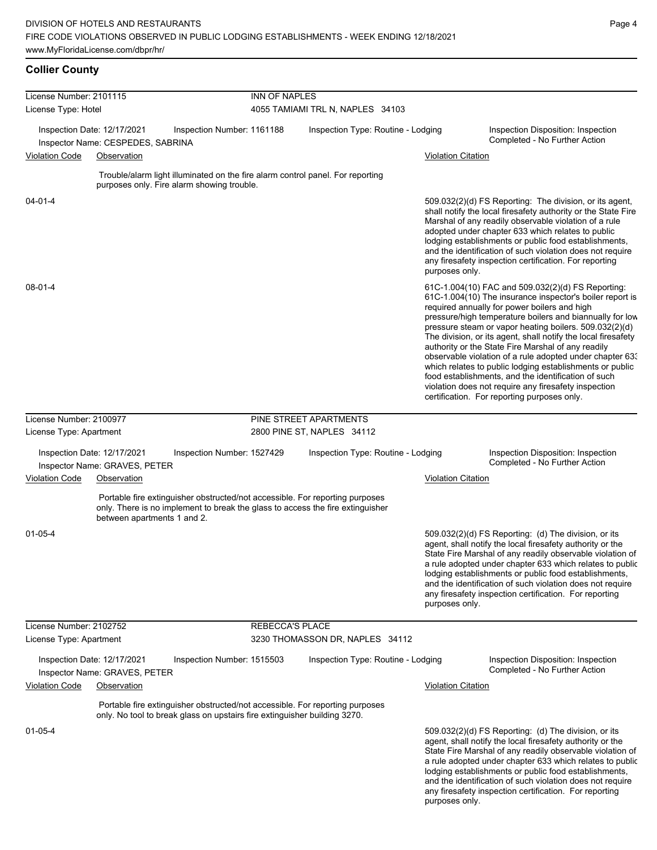# **Collier County**

| License Number: 2101115 |                                                                  | <b>INN OF NAPLES</b>                                                                                                                                                                          |                        |                                    |                           |                                                                                                                                                                                                                                                                                                                                                                                                                                                                                                                                                                                                                                                                                                  |
|-------------------------|------------------------------------------------------------------|-----------------------------------------------------------------------------------------------------------------------------------------------------------------------------------------------|------------------------|------------------------------------|---------------------------|--------------------------------------------------------------------------------------------------------------------------------------------------------------------------------------------------------------------------------------------------------------------------------------------------------------------------------------------------------------------------------------------------------------------------------------------------------------------------------------------------------------------------------------------------------------------------------------------------------------------------------------------------------------------------------------------------|
| License Type: Hotel     |                                                                  |                                                                                                                                                                                               |                        | 4055 TAMIAMI TRL N, NAPLES 34103   |                           |                                                                                                                                                                                                                                                                                                                                                                                                                                                                                                                                                                                                                                                                                                  |
|                         | Inspection Date: 12/17/2021<br>Inspector Name: CESPEDES, SABRINA | Inspection Number: 1161188                                                                                                                                                                    |                        | Inspection Type: Routine - Lodging |                           | Inspection Disposition: Inspection<br>Completed - No Further Action                                                                                                                                                                                                                                                                                                                                                                                                                                                                                                                                                                                                                              |
| <b>Violation Code</b>   | Observation                                                      |                                                                                                                                                                                               |                        |                                    | <b>Violation Citation</b> |                                                                                                                                                                                                                                                                                                                                                                                                                                                                                                                                                                                                                                                                                                  |
|                         |                                                                  | Trouble/alarm light illuminated on the fire alarm control panel. For reporting<br>purposes only. Fire alarm showing trouble.                                                                  |                        |                                    |                           |                                                                                                                                                                                                                                                                                                                                                                                                                                                                                                                                                                                                                                                                                                  |
| 04-01-4                 |                                                                  |                                                                                                                                                                                               |                        |                                    | purposes only.            | 509.032(2)(d) FS Reporting: The division, or its agent,<br>shall notify the local firesafety authority or the State Fire<br>Marshal of any readily observable violation of a rule<br>adopted under chapter 633 which relates to public<br>lodging establishments or public food establishments,<br>and the identification of such violation does not require<br>any firesafety inspection certification. For reporting                                                                                                                                                                                                                                                                           |
| 08-01-4                 |                                                                  |                                                                                                                                                                                               |                        |                                    |                           | 61C-1.004(10) FAC and 509.032(2)(d) FS Reporting:<br>61C-1.004(10) The insurance inspector's boiler report is<br>required annually for power boilers and high<br>pressure/high temperature boilers and biannually for low<br>pressure steam or vapor heating boilers. 509.032(2)(d)<br>The division, or its agent, shall notify the local firesafety<br>authority or the State Fire Marshal of any readily<br>observable violation of a rule adopted under chapter 63.<br>which relates to public lodging establishments or public<br>food establishments, and the identification of such<br>violation does not require any firesafety inspection<br>certification. For reporting purposes only. |
| License Number: 2100977 |                                                                  |                                                                                                                                                                                               |                        | PINE STREET APARTMENTS             |                           |                                                                                                                                                                                                                                                                                                                                                                                                                                                                                                                                                                                                                                                                                                  |
| License Type: Apartment |                                                                  |                                                                                                                                                                                               |                        | 2800 PINE ST, NAPLES 34112         |                           |                                                                                                                                                                                                                                                                                                                                                                                                                                                                                                                                                                                                                                                                                                  |
|                         |                                                                  |                                                                                                                                                                                               |                        |                                    |                           |                                                                                                                                                                                                                                                                                                                                                                                                                                                                                                                                                                                                                                                                                                  |
|                         | Inspection Date: 12/17/2021<br>Inspector Name: GRAVES, PETER     | Inspection Number: 1527429                                                                                                                                                                    |                        | Inspection Type: Routine - Lodging |                           | Inspection Disposition: Inspection<br>Completed - No Further Action                                                                                                                                                                                                                                                                                                                                                                                                                                                                                                                                                                                                                              |
| <b>Violation Code</b>   | Observation                                                      |                                                                                                                                                                                               |                        |                                    | <b>Violation Citation</b> |                                                                                                                                                                                                                                                                                                                                                                                                                                                                                                                                                                                                                                                                                                  |
|                         |                                                                  | Portable fire extinguisher obstructed/not accessible. For reporting purposes<br>only. There is no implement to break the glass to access the fire extinguisher<br>between apartments 1 and 2. |                        |                                    |                           |                                                                                                                                                                                                                                                                                                                                                                                                                                                                                                                                                                                                                                                                                                  |
| $01 - 05 - 4$           |                                                                  |                                                                                                                                                                                               |                        |                                    | purposes only.            | 509.032(2)(d) FS Reporting: (d) The division, or its<br>agent, shall notify the local firesafety authority or the<br>State Fire Marshal of any readily observable violation of<br>a rule adopted under chapter 633 which relates to public<br>lodging establishments or public food establishments,<br>and the identification of such violation does not require<br>any firesafety inspection certification. For reporting                                                                                                                                                                                                                                                                       |
| License Number: 2102752 |                                                                  |                                                                                                                                                                                               | <b>REBECCA'S PLACE</b> |                                    |                           |                                                                                                                                                                                                                                                                                                                                                                                                                                                                                                                                                                                                                                                                                                  |
| License Type: Apartment |                                                                  |                                                                                                                                                                                               |                        | 3230 THOMASSON DR, NAPLES 34112    |                           |                                                                                                                                                                                                                                                                                                                                                                                                                                                                                                                                                                                                                                                                                                  |
|                         | Inspection Date: 12/17/2021                                      | Inspection Number: 1515503                                                                                                                                                                    |                        | Inspection Type: Routine - Lodging |                           | Inspection Disposition: Inspection                                                                                                                                                                                                                                                                                                                                                                                                                                                                                                                                                                                                                                                               |
|                         | Inspector Name: GRAVES, PETER                                    |                                                                                                                                                                                               |                        |                                    |                           | Completed - No Further Action                                                                                                                                                                                                                                                                                                                                                                                                                                                                                                                                                                                                                                                                    |
| <b>Violation Code</b>   | Observation                                                      |                                                                                                                                                                                               |                        |                                    | <b>Violation Citation</b> |                                                                                                                                                                                                                                                                                                                                                                                                                                                                                                                                                                                                                                                                                                  |
|                         |                                                                  | Portable fire extinguisher obstructed/not accessible. For reporting purposes<br>only. No tool to break glass on upstairs fire extinguisher building 3270.                                     |                        |                                    |                           |                                                                                                                                                                                                                                                                                                                                                                                                                                                                                                                                                                                                                                                                                                  |
| $01 - 05 - 4$           |                                                                  |                                                                                                                                                                                               |                        |                                    | purposes only.            | 509.032(2)(d) FS Reporting (d) The division, or its<br>agent, shall notify the local firesafety authority or the<br>State Fire Marshal of any readily observable violation of<br>a rule adopted under chapter 633 which relates to public<br>lodging establishments or public food establishments,<br>and the identification of such violation does not require<br>any firesafety inspection certification. For reporting                                                                                                                                                                                                                                                                        |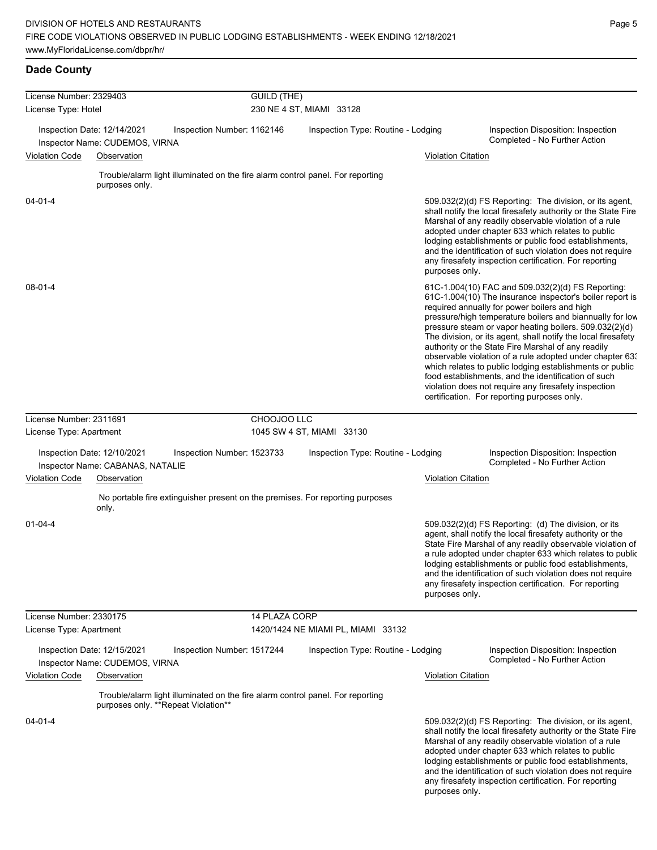| License Number: 2329403                            |                                                                 |                                                                                                                       | <b>GUILD (THE)</b>                 |                                    |  |                                                                     |                                                                                                                                                                                                                                                                                                                                                                                                                                                                                                                                                                                                                                                                                                  |  |
|----------------------------------------------------|-----------------------------------------------------------------|-----------------------------------------------------------------------------------------------------------------------|------------------------------------|------------------------------------|--|---------------------------------------------------------------------|--------------------------------------------------------------------------------------------------------------------------------------------------------------------------------------------------------------------------------------------------------------------------------------------------------------------------------------------------------------------------------------------------------------------------------------------------------------------------------------------------------------------------------------------------------------------------------------------------------------------------------------------------------------------------------------------------|--|
| License Type: Hotel                                |                                                                 |                                                                                                                       | 230 NE 4 ST, MIAMI 33128           |                                    |  |                                                                     |                                                                                                                                                                                                                                                                                                                                                                                                                                                                                                                                                                                                                                                                                                  |  |
|                                                    | Inspection Date: 12/14/2021<br>Inspector Name: CUDEMOS, VIRNA   | Inspection Number: 1162146                                                                                            | Inspection Type: Routine - Lodging |                                    |  | Inspection Disposition: Inspection<br>Completed - No Further Action |                                                                                                                                                                                                                                                                                                                                                                                                                                                                                                                                                                                                                                                                                                  |  |
| <b>Violation Code</b>                              | Observation                                                     |                                                                                                                       |                                    |                                    |  | <b>Violation Citation</b>                                           |                                                                                                                                                                                                                                                                                                                                                                                                                                                                                                                                                                                                                                                                                                  |  |
|                                                    |                                                                 |                                                                                                                       |                                    |                                    |  |                                                                     |                                                                                                                                                                                                                                                                                                                                                                                                                                                                                                                                                                                                                                                                                                  |  |
|                                                    | purposes only.                                                  | Trouble/alarm light illuminated on the fire alarm control panel. For reporting                                        |                                    |                                    |  |                                                                     |                                                                                                                                                                                                                                                                                                                                                                                                                                                                                                                                                                                                                                                                                                  |  |
| 04-01-4                                            |                                                                 |                                                                                                                       |                                    |                                    |  | purposes only.                                                      | 509.032(2)(d) FS Reporting: The division, or its agent,<br>shall notify the local firesafety authority or the State Fire<br>Marshal of any readily observable violation of a rule<br>adopted under chapter 633 which relates to public<br>lodging establishments or public food establishments,<br>and the identification of such violation does not require<br>any firesafety inspection certification. For reporting                                                                                                                                                                                                                                                                           |  |
| $08 - 01 - 4$                                      |                                                                 |                                                                                                                       |                                    |                                    |  |                                                                     | 61C-1.004(10) FAC and 509.032(2)(d) FS Reporting:<br>61C-1.004(10) The insurance inspector's boiler report is<br>required annually for power boilers and high<br>pressure/high temperature boilers and biannually for low<br>pressure steam or vapor heating boilers. 509.032(2)(d)<br>The division, or its agent, shall notify the local firesafety<br>authority or the State Fire Marshal of any readily<br>observable violation of a rule adopted under chapter 63.<br>which relates to public lodging establishments or public<br>food establishments, and the identification of such<br>violation does not require any firesafety inspection<br>certification. For reporting purposes only. |  |
| License Number: 2311691                            |                                                                 |                                                                                                                       | CHOOJOO LLC                        |                                    |  |                                                                     |                                                                                                                                                                                                                                                                                                                                                                                                                                                                                                                                                                                                                                                                                                  |  |
| License Type: Apartment                            |                                                                 |                                                                                                                       |                                    | 1045 SW 4 ST, MIAMI 33130          |  |                                                                     |                                                                                                                                                                                                                                                                                                                                                                                                                                                                                                                                                                                                                                                                                                  |  |
|                                                    |                                                                 |                                                                                                                       |                                    |                                    |  |                                                                     |                                                                                                                                                                                                                                                                                                                                                                                                                                                                                                                                                                                                                                                                                                  |  |
|                                                    | Inspection Date: 12/10/2021<br>Inspector Name: CABANAS, NATALIE | Inspection Number: 1523733                                                                                            |                                    | Inspection Type: Routine - Lodging |  |                                                                     | Inspection Disposition: Inspection<br>Completed - No Further Action                                                                                                                                                                                                                                                                                                                                                                                                                                                                                                                                                                                                                              |  |
| Violation Code                                     | Observation                                                     |                                                                                                                       |                                    |                                    |  | <b>Violation Citation</b>                                           |                                                                                                                                                                                                                                                                                                                                                                                                                                                                                                                                                                                                                                                                                                  |  |
|                                                    | only.                                                           | No portable fire extinguisher present on the premises. For reporting purposes                                         |                                    |                                    |  |                                                                     |                                                                                                                                                                                                                                                                                                                                                                                                                                                                                                                                                                                                                                                                                                  |  |
| $01 - 04 - 4$                                      |                                                                 |                                                                                                                       |                                    |                                    |  | purposes only.                                                      | 509.032(2)(d) FS Reporting: (d) The division, or its<br>agent, shall notify the local firesafety authority or the<br>State Fire Marshal of any readily observable violation of<br>a rule adopted under chapter 633 which relates to public<br>lodging establishments or public food establishments,<br>and the identification of such violation does not require<br>any firesafety inspection certification. For reporting                                                                                                                                                                                                                                                                       |  |
|                                                    |                                                                 |                                                                                                                       |                                    |                                    |  |                                                                     |                                                                                                                                                                                                                                                                                                                                                                                                                                                                                                                                                                                                                                                                                                  |  |
| License Number: 2330175<br>License Type: Apartment |                                                                 |                                                                                                                       | 14 PLAZA CORP                      |                                    |  |                                                                     |                                                                                                                                                                                                                                                                                                                                                                                                                                                                                                                                                                                                                                                                                                  |  |
|                                                    |                                                                 |                                                                                                                       |                                    | 1420/1424 NE MIAMI PL, MIAMI 33132 |  |                                                                     |                                                                                                                                                                                                                                                                                                                                                                                                                                                                                                                                                                                                                                                                                                  |  |
|                                                    | Inspection Date: 12/15/2021<br>Inspector Name: CUDEMOS, VIRNA   | Inspection Number: 1517244                                                                                            |                                    | Inspection Type: Routine - Lodging |  |                                                                     | Inspection Disposition: Inspection<br>Completed - No Further Action                                                                                                                                                                                                                                                                                                                                                                                                                                                                                                                                                                                                                              |  |
| <b>Violation Code</b>                              | Observation                                                     |                                                                                                                       |                                    |                                    |  | <b>Violation Citation</b>                                           |                                                                                                                                                                                                                                                                                                                                                                                                                                                                                                                                                                                                                                                                                                  |  |
|                                                    |                                                                 | Trouble/alarm light illuminated on the fire alarm control panel. For reporting<br>purposes only. **Repeat Violation** |                                    |                                    |  |                                                                     |                                                                                                                                                                                                                                                                                                                                                                                                                                                                                                                                                                                                                                                                                                  |  |
| 04-01-4                                            |                                                                 |                                                                                                                       |                                    |                                    |  | purposes only.                                                      | 509.032(2)(d) FS Reporting: The division, or its agent,<br>shall notify the local firesafety authority or the State Fire<br>Marshal of any readily observable violation of a rule<br>adopted under chapter 633 which relates to public<br>lodging establishments or public food establishments,<br>and the identification of such violation does not require<br>any firesafety inspection certification. For reporting                                                                                                                                                                                                                                                                           |  |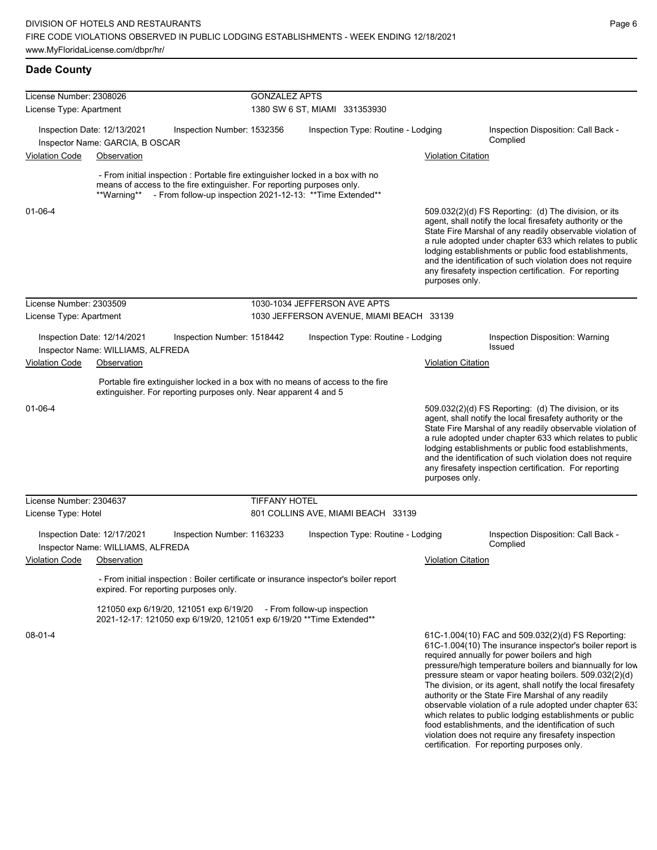| License Number: 2308026                                                                      |                                                                  |                                                                                                                                                                                                                                   | <b>GONZALEZ APTS</b> |                                                                                       |                           |                                                                                                                                                                                                                                                                                                                                                                                                                                                                                                                                                                                           |
|----------------------------------------------------------------------------------------------|------------------------------------------------------------------|-----------------------------------------------------------------------------------------------------------------------------------------------------------------------------------------------------------------------------------|----------------------|---------------------------------------------------------------------------------------|---------------------------|-------------------------------------------------------------------------------------------------------------------------------------------------------------------------------------------------------------------------------------------------------------------------------------------------------------------------------------------------------------------------------------------------------------------------------------------------------------------------------------------------------------------------------------------------------------------------------------------|
| License Type: Apartment                                                                      |                                                                  |                                                                                                                                                                                                                                   |                      | 1380 SW 6 ST, MIAMI 331353930                                                         |                           |                                                                                                                                                                                                                                                                                                                                                                                                                                                                                                                                                                                           |
| Inspection Date: 12/13/2021<br>Inspection Number: 1532356<br>Inspector Name: GARCIA, B OSCAR |                                                                  |                                                                                                                                                                                                                                   |                      | Inspection Type: Routine - Lodging                                                    |                           | Inspection Disposition: Call Back -<br>Complied                                                                                                                                                                                                                                                                                                                                                                                                                                                                                                                                           |
| <b>Violation Code</b>                                                                        | Observation                                                      |                                                                                                                                                                                                                                   |                      |                                                                                       | <b>Violation Citation</b> |                                                                                                                                                                                                                                                                                                                                                                                                                                                                                                                                                                                           |
|                                                                                              |                                                                  | - From initial inspection : Portable fire extinguisher locked in a box with no<br>means of access to the fire extinguisher. For reporting purposes only.<br>**Warning** - From follow-up inspection 2021-12-13: **Time Extended** |                      |                                                                                       |                           |                                                                                                                                                                                                                                                                                                                                                                                                                                                                                                                                                                                           |
| 01-06-4                                                                                      |                                                                  |                                                                                                                                                                                                                                   |                      |                                                                                       | purposes only.            | 509.032(2)(d) FS Reporting: (d) The division, or its<br>agent, shall notify the local firesafety authority or the<br>State Fire Marshal of any readily observable violation of<br>a rule adopted under chapter 633 which relates to public<br>lodging establishments or public food establishments,<br>and the identification of such violation does not require<br>any firesafety inspection certification. For reporting                                                                                                                                                                |
| License Number: 2303509                                                                      |                                                                  |                                                                                                                                                                                                                                   |                      | 1030-1034 JEFFERSON AVE APTS                                                          |                           |                                                                                                                                                                                                                                                                                                                                                                                                                                                                                                                                                                                           |
| License Type: Apartment                                                                      |                                                                  |                                                                                                                                                                                                                                   |                      | 1030 JEFFERSON AVENUE, MIAMI BEACH 33139                                              |                           |                                                                                                                                                                                                                                                                                                                                                                                                                                                                                                                                                                                           |
|                                                                                              | Inspection Date: 12/14/2021<br>Inspector Name: WILLIAMS, ALFREDA | Inspection Number: 1518442                                                                                                                                                                                                        |                      | Inspection Type: Routine - Lodging                                                    |                           | Inspection Disposition: Warning<br>Issued                                                                                                                                                                                                                                                                                                                                                                                                                                                                                                                                                 |
| <b>Violation Code</b>                                                                        | Observation                                                      |                                                                                                                                                                                                                                   |                      |                                                                                       | <b>Violation Citation</b> |                                                                                                                                                                                                                                                                                                                                                                                                                                                                                                                                                                                           |
|                                                                                              |                                                                  | extinguisher. For reporting purposes only. Near apparent 4 and 5                                                                                                                                                                  |                      | Portable fire extinguisher locked in a box with no means of access to the fire        |                           |                                                                                                                                                                                                                                                                                                                                                                                                                                                                                                                                                                                           |
| 01-06-4                                                                                      |                                                                  |                                                                                                                                                                                                                                   |                      |                                                                                       | purposes only.            | 509.032(2)(d) FS Reporting: (d) The division, or its<br>agent, shall notify the local firesafety authority or the<br>State Fire Marshal of any readily observable violation of<br>a rule adopted under chapter 633 which relates to public<br>lodging establishments or public food establishments,<br>and the identification of such violation does not require<br>any firesafety inspection certification. For reporting                                                                                                                                                                |
| License Number: 2304637                                                                      |                                                                  |                                                                                                                                                                                                                                   | <b>TIFFANY HOTEL</b> |                                                                                       |                           |                                                                                                                                                                                                                                                                                                                                                                                                                                                                                                                                                                                           |
| License Type: Hotel                                                                          |                                                                  |                                                                                                                                                                                                                                   |                      | 801 COLLINS AVE, MIAMI BEACH 33139                                                    |                           |                                                                                                                                                                                                                                                                                                                                                                                                                                                                                                                                                                                           |
|                                                                                              | Inspection Date: 12/17/2021<br>Inspector Name: WILLIAMS, ALFREDA | Inspection Number: 1163233                                                                                                                                                                                                        |                      | Inspection Type: Routine - Lodging                                                    |                           | Inspection Disposition: Call Back -<br>Complied                                                                                                                                                                                                                                                                                                                                                                                                                                                                                                                                           |
| <b>Violation Code</b>                                                                        | Observation                                                      |                                                                                                                                                                                                                                   |                      |                                                                                       | <b>Violation Citation</b> |                                                                                                                                                                                                                                                                                                                                                                                                                                                                                                                                                                                           |
|                                                                                              |                                                                  | expired. For reporting purposes only.                                                                                                                                                                                             |                      | - From initial inspection : Boiler certificate or insurance inspector's boiler report |                           |                                                                                                                                                                                                                                                                                                                                                                                                                                                                                                                                                                                           |
|                                                                                              |                                                                  | 121050 exp 6/19/20, 121051 exp 6/19/20<br>2021-12-17: 121050 exp 6/19/20, 121051 exp 6/19/20 ** Time Extended**                                                                                                                   |                      | - From follow-up inspection                                                           |                           |                                                                                                                                                                                                                                                                                                                                                                                                                                                                                                                                                                                           |
| $08 - 01 - 4$                                                                                |                                                                  |                                                                                                                                                                                                                                   |                      |                                                                                       |                           | 61C-1.004(10) FAC and 509.032(2)(d) FS Reporting:<br>61C-1.004(10) The insurance inspector's boiler report is<br>required annually for power boilers and high<br>pressure/high temperature boilers and biannually for low<br>pressure steam or vapor heating boilers. 509.032(2)(d)<br>The division, or its agent, shall notify the local firesafety<br>authority or the State Fire Marshal of any readily<br>observable violation of a rule adopted under chapter 63.<br>which relates to public lodging establishments or public<br>food establishments, and the identification of such |

violation does not require any firesafety inspection certification. For reporting purposes only.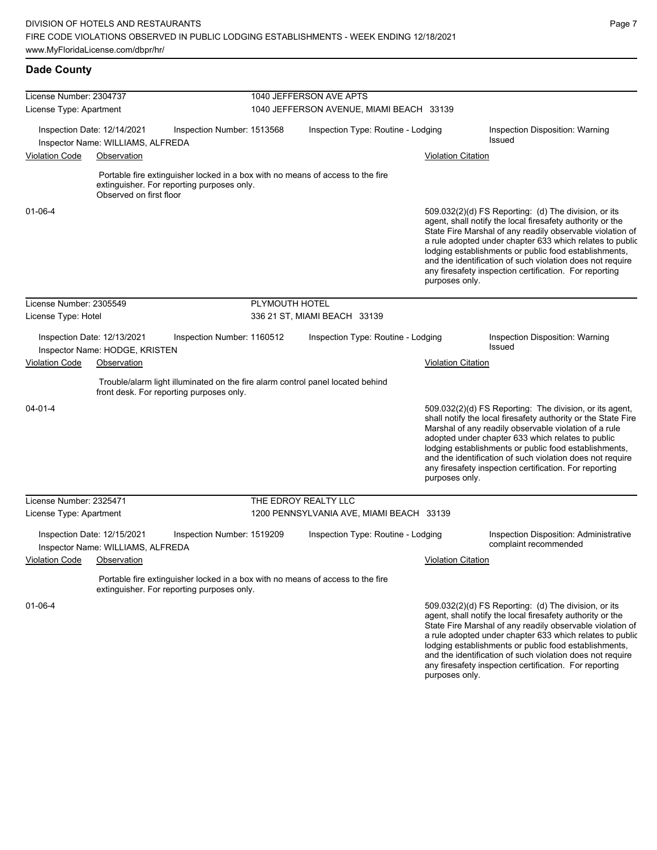| License Number: 2304737                                                                                                                                 |                            | 1040 JEFFERSON AVE APTS                                                                |                           |                                                                                                                                                                                                                                                                                                                                                                                                                            |  |  |  |
|---------------------------------------------------------------------------------------------------------------------------------------------------------|----------------------------|----------------------------------------------------------------------------------------|---------------------------|----------------------------------------------------------------------------------------------------------------------------------------------------------------------------------------------------------------------------------------------------------------------------------------------------------------------------------------------------------------------------------------------------------------------------|--|--|--|
| License Type: Apartment                                                                                                                                 |                            | 1040 JEFFERSON AVENUE, MIAMI BEACH 33139                                               |                           |                                                                                                                                                                                                                                                                                                                                                                                                                            |  |  |  |
| Inspection Date: 12/14/2021<br>Inspector Name: WILLIAMS, ALFREDA                                                                                        | Inspection Number: 1513568 | Inspection Type: Routine - Lodging<br>Inspection Disposition: Warning<br><b>Issued</b> |                           |                                                                                                                                                                                                                                                                                                                                                                                                                            |  |  |  |
| <b>Violation Code</b><br>Observation                                                                                                                    |                            |                                                                                        | <b>Violation Citation</b> |                                                                                                                                                                                                                                                                                                                                                                                                                            |  |  |  |
| Portable fire extinguisher locked in a box with no means of access to the fire<br>extinguisher. For reporting purposes only.<br>Observed on first floor |                            |                                                                                        |                           |                                                                                                                                                                                                                                                                                                                                                                                                                            |  |  |  |
| 01-06-4                                                                                                                                                 |                            |                                                                                        | purposes only.            | 509.032(2)(d) FS Reporting: (d) The division, or its<br>agent, shall notify the local firesafety authority or the<br>State Fire Marshal of any readily observable violation of<br>a rule adopted under chapter 633 which relates to public<br>lodging establishments or public food establishments,<br>and the identification of such violation does not require<br>any firesafety inspection certification. For reporting |  |  |  |
| License Number: 2305549                                                                                                                                 | PLYMOUTH HOTEL             |                                                                                        |                           |                                                                                                                                                                                                                                                                                                                                                                                                                            |  |  |  |
| License Type: Hotel                                                                                                                                     |                            | 336 21 ST, MIAMI BEACH 33139                                                           |                           |                                                                                                                                                                                                                                                                                                                                                                                                                            |  |  |  |
| Inspection Date: 12/13/2021<br>Inspector Name: HODGE, KRISTEN                                                                                           | Inspection Number: 1160512 | Inspection Type: Routine - Lodging                                                     |                           | Inspection Disposition: Warning<br><b>Issued</b>                                                                                                                                                                                                                                                                                                                                                                           |  |  |  |
| <b>Violation Code</b><br>Observation                                                                                                                    |                            |                                                                                        | <b>Violation Citation</b> |                                                                                                                                                                                                                                                                                                                                                                                                                            |  |  |  |
| Trouble/alarm light illuminated on the fire alarm control panel located behind<br>front desk. For reporting purposes only.                              |                            |                                                                                        |                           |                                                                                                                                                                                                                                                                                                                                                                                                                            |  |  |  |
| $04 - 01 - 4$                                                                                                                                           |                            |                                                                                        | purposes only.            | 509.032(2)(d) FS Reporting: The division, or its agent,<br>shall notify the local firesafety authority or the State Fire<br>Marshal of any readily observable violation of a rule<br>adopted under chapter 633 which relates to public<br>lodging establishments or public food establishments,<br>and the identification of such violation does not require<br>any firesafety inspection certification. For reporting     |  |  |  |
| License Number: 2325471                                                                                                                                 |                            | THE EDROY REALTY LLC                                                                   |                           |                                                                                                                                                                                                                                                                                                                                                                                                                            |  |  |  |
| License Type: Apartment                                                                                                                                 |                            | 1200 PENNSYLVANIA AVE, MIAMI BEACH 33139                                               |                           |                                                                                                                                                                                                                                                                                                                                                                                                                            |  |  |  |
| Inspection Date: 12/15/2021<br>Inspector Name: WILLIAMS, ALFREDA                                                                                        | Inspection Number: 1519209 | Inspection Type: Routine - Lodging                                                     |                           | Inspection Disposition: Administrative<br>complaint recommended                                                                                                                                                                                                                                                                                                                                                            |  |  |  |
| <b>Violation Code</b><br>Observation                                                                                                                    |                            |                                                                                        | <b>Violation Citation</b> |                                                                                                                                                                                                                                                                                                                                                                                                                            |  |  |  |
| Portable fire extinguisher locked in a box with no means of access to the fire<br>extinguisher. For reporting purposes only.                            |                            |                                                                                        |                           |                                                                                                                                                                                                                                                                                                                                                                                                                            |  |  |  |
| $01 - 06 - 4$                                                                                                                                           |                            |                                                                                        |                           | 509.032(2)(d) FS Reporting: (d) The division, or its<br>agent, shall notify the local firesafety authority or the<br>State Fire Marshal of any readily observable violation of<br>a rule adopted under chapter 633 which relates to public<br>lodging establishments or public food establishments,<br>and the identification of such violation does not require                                                           |  |  |  |

any firesafety inspection certification. For reporting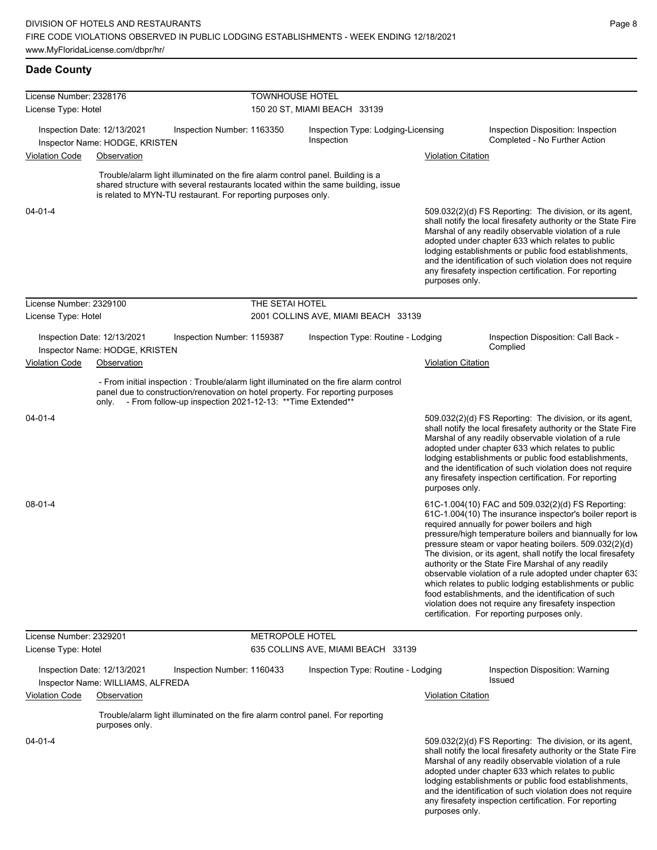| License Number: 2328176 |                                                                  |                                                                                                                                                                                                                                       | <b>TOWNHOUSE HOTEL</b>       |                                                  |  |                           |                                                                                                                                                                                                                                                                                                                                                                                                                                                                                                                                                                                                                                                                                                  |  |
|-------------------------|------------------------------------------------------------------|---------------------------------------------------------------------------------------------------------------------------------------------------------------------------------------------------------------------------------------|------------------------------|--------------------------------------------------|--|---------------------------|--------------------------------------------------------------------------------------------------------------------------------------------------------------------------------------------------------------------------------------------------------------------------------------------------------------------------------------------------------------------------------------------------------------------------------------------------------------------------------------------------------------------------------------------------------------------------------------------------------------------------------------------------------------------------------------------------|--|
| License Type: Hotel     |                                                                  |                                                                                                                                                                                                                                       | 150 20 ST, MIAMI BEACH 33139 |                                                  |  |                           |                                                                                                                                                                                                                                                                                                                                                                                                                                                                                                                                                                                                                                                                                                  |  |
|                         | Inspection Date: 12/13/2021                                      | Inspection Number: 1163350                                                                                                                                                                                                            |                              | Inspection Type: Lodging-Licensing<br>Inspection |  |                           | Inspection Disposition: Inspection<br>Completed - No Further Action                                                                                                                                                                                                                                                                                                                                                                                                                                                                                                                                                                                                                              |  |
| <b>Violation Code</b>   | Inspector Name: HODGE, KRISTEN<br>Observation                    |                                                                                                                                                                                                                                       |                              |                                                  |  | <b>Violation Citation</b> |                                                                                                                                                                                                                                                                                                                                                                                                                                                                                                                                                                                                                                                                                                  |  |
|                         |                                                                  | Trouble/alarm light illuminated on the fire alarm control panel. Building is a<br>shared structure with several restaurants located within the same building, issue<br>is related to MYN-TU restaurant. For reporting purposes only.  |                              |                                                  |  |                           |                                                                                                                                                                                                                                                                                                                                                                                                                                                                                                                                                                                                                                                                                                  |  |
| $04 - 01 - 4$           |                                                                  |                                                                                                                                                                                                                                       |                              |                                                  |  | purposes only.            | 509.032(2)(d) FS Reporting: The division, or its agent,<br>shall notify the local firesafety authority or the State Fire<br>Marshal of any readily observable violation of a rule<br>adopted under chapter 633 which relates to public<br>lodging establishments or public food establishments,<br>and the identification of such violation does not require<br>any firesafety inspection certification. For reporting                                                                                                                                                                                                                                                                           |  |
| License Number: 2329100 |                                                                  |                                                                                                                                                                                                                                       | THE SETAI HOTEL              |                                                  |  |                           |                                                                                                                                                                                                                                                                                                                                                                                                                                                                                                                                                                                                                                                                                                  |  |
| License Type: Hotel     |                                                                  |                                                                                                                                                                                                                                       |                              | 2001 COLLINS AVE, MIAMI BEACH 33139              |  |                           |                                                                                                                                                                                                                                                                                                                                                                                                                                                                                                                                                                                                                                                                                                  |  |
|                         | Inspection Date: 12/13/2021<br>Inspector Name: HODGE, KRISTEN    | Inspection Number: 1159387                                                                                                                                                                                                            |                              | Inspection Type: Routine - Lodging               |  |                           | Inspection Disposition: Call Back -<br>Complied                                                                                                                                                                                                                                                                                                                                                                                                                                                                                                                                                                                                                                                  |  |
| Violation Code          | Observation                                                      |                                                                                                                                                                                                                                       |                              |                                                  |  | <b>Violation Citation</b> |                                                                                                                                                                                                                                                                                                                                                                                                                                                                                                                                                                                                                                                                                                  |  |
|                         | only.                                                            | - From initial inspection : Trouble/alarm light illuminated on the fire alarm control<br>panel due to construction/renovation on hotel property. For reporting purposes<br>- From follow-up inspection 2021-12-13: ** Time Extended** |                              |                                                  |  |                           |                                                                                                                                                                                                                                                                                                                                                                                                                                                                                                                                                                                                                                                                                                  |  |
| $04 - 01 - 4$           |                                                                  |                                                                                                                                                                                                                                       |                              |                                                  |  | purposes only.            | 509.032(2)(d) FS Reporting: The division, or its agent,<br>shall notify the local firesafety authority or the State Fire<br>Marshal of any readily observable violation of a rule<br>adopted under chapter 633 which relates to public<br>lodging establishments or public food establishments,<br>and the identification of such violation does not require<br>any firesafety inspection certification. For reporting                                                                                                                                                                                                                                                                           |  |
| 08-01-4                 |                                                                  |                                                                                                                                                                                                                                       |                              |                                                  |  |                           | 61C-1.004(10) FAC and 509.032(2)(d) FS Reporting:<br>61C-1.004(10) The insurance inspector's boiler report is<br>required annually for power boilers and high<br>pressure/high temperature boilers and biannually for low<br>pressure steam or vapor heating boilers. 509.032(2)(d)<br>The division, or its agent, shall notify the local firesafety<br>authority or the State Fire Marshal of any readily<br>observable violation of a rule adopted under chapter 63.<br>which relates to public lodging establishments or public<br>food establishments, and the identification of such<br>violation does not require any firesafety inspection<br>certification. For reporting purposes only. |  |
| License Number: 2329201 |                                                                  |                                                                                                                                                                                                                                       | <b>METROPOLE HOTEL</b>       |                                                  |  |                           |                                                                                                                                                                                                                                                                                                                                                                                                                                                                                                                                                                                                                                                                                                  |  |
| License Type: Hotel     |                                                                  |                                                                                                                                                                                                                                       |                              | 635 COLLINS AVE, MIAMI BEACH 33139               |  |                           |                                                                                                                                                                                                                                                                                                                                                                                                                                                                                                                                                                                                                                                                                                  |  |
|                         | Inspection Date: 12/13/2021<br>Inspector Name: WILLIAMS, ALFREDA | Inspection Number: 1160433                                                                                                                                                                                                            |                              | Inspection Type: Routine - Lodging               |  |                           | Inspection Disposition: Warning<br><b>Issued</b>                                                                                                                                                                                                                                                                                                                                                                                                                                                                                                                                                                                                                                                 |  |
| Violation Code          | Observation                                                      |                                                                                                                                                                                                                                       |                              |                                                  |  | <b>Violation Citation</b> |                                                                                                                                                                                                                                                                                                                                                                                                                                                                                                                                                                                                                                                                                                  |  |
|                         | purposes only.                                                   | Trouble/alarm light illuminated on the fire alarm control panel. For reporting                                                                                                                                                        |                              |                                                  |  |                           |                                                                                                                                                                                                                                                                                                                                                                                                                                                                                                                                                                                                                                                                                                  |  |
| 04-01-4                 |                                                                  |                                                                                                                                                                                                                                       |                              |                                                  |  |                           | 509.032(2)(d) FS Reporting: The division, or its agent,<br>shall notify the local firesafety authority or the State Fire<br>Marshal of any readily observable violation of a rule<br>adopted under chapter 633 which relates to public<br>lodging establishments or public food establishments,<br>and the identification of such violation does not require                                                                                                                                                                                                                                                                                                                                     |  |

any firesafety inspection certification. For reporting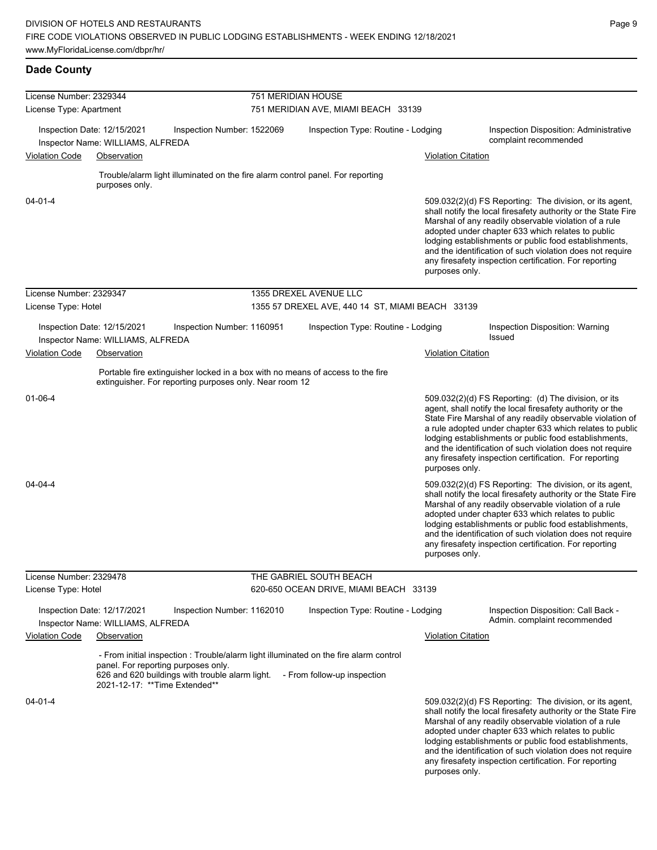| License Number: 2329344 |                                                                  |                                                                                                                                                                                                                  |                                     | 751 MERIDIAN HOUSE                               |                                                                 |                                                                                                                                                                                                                                                                                                                                                                                                                            |  |  |
|-------------------------|------------------------------------------------------------------|------------------------------------------------------------------------------------------------------------------------------------------------------------------------------------------------------------------|-------------------------------------|--------------------------------------------------|-----------------------------------------------------------------|----------------------------------------------------------------------------------------------------------------------------------------------------------------------------------------------------------------------------------------------------------------------------------------------------------------------------------------------------------------------------------------------------------------------------|--|--|
| License Type: Apartment |                                                                  |                                                                                                                                                                                                                  | 751 MERIDIAN AVE, MIAMI BEACH 33139 |                                                  |                                                                 |                                                                                                                                                                                                                                                                                                                                                                                                                            |  |  |
|                         | Inspection Date: 12/15/2021<br>Inspector Name: WILLIAMS, ALFREDA | Inspection Number: 1522069                                                                                                                                                                                       |                                     | Inspection Type: Routine - Lodging               | Inspection Disposition: Administrative<br>complaint recommended |                                                                                                                                                                                                                                                                                                                                                                                                                            |  |  |
| <b>Violation Code</b>   | Observation                                                      |                                                                                                                                                                                                                  |                                     |                                                  | <b>Violation Citation</b>                                       |                                                                                                                                                                                                                                                                                                                                                                                                                            |  |  |
|                         |                                                                  | Trouble/alarm light illuminated on the fire alarm control panel. For reporting                                                                                                                                   |                                     |                                                  |                                                                 |                                                                                                                                                                                                                                                                                                                                                                                                                            |  |  |
|                         | purposes only.                                                   |                                                                                                                                                                                                                  |                                     |                                                  |                                                                 |                                                                                                                                                                                                                                                                                                                                                                                                                            |  |  |
| $04 - 01 - 4$           |                                                                  |                                                                                                                                                                                                                  |                                     |                                                  | purposes only.                                                  | 509.032(2)(d) FS Reporting: The division, or its agent,<br>shall notify the local firesafety authority or the State Fire<br>Marshal of any readily observable violation of a rule<br>adopted under chapter 633 which relates to public<br>lodging establishments or public food establishments,<br>and the identification of such violation does not require<br>any firesafety inspection certification. For reporting     |  |  |
| License Number: 2329347 |                                                                  |                                                                                                                                                                                                                  |                                     | 1355 DREXEL AVENUE LLC                           |                                                                 |                                                                                                                                                                                                                                                                                                                                                                                                                            |  |  |
| License Type: Hotel     |                                                                  |                                                                                                                                                                                                                  |                                     | 1355 57 DREXEL AVE, 440 14 ST, MIAMI BEACH 33139 |                                                                 |                                                                                                                                                                                                                                                                                                                                                                                                                            |  |  |
|                         | Inspection Date: 12/15/2021<br>Inspector Name: WILLIAMS, ALFREDA | Inspection Number: 1160951                                                                                                                                                                                       |                                     | Inspection Type: Routine - Lodging               |                                                                 | Inspection Disposition: Warning<br>Issued                                                                                                                                                                                                                                                                                                                                                                                  |  |  |
| <b>Violation Code</b>   | Observation                                                      |                                                                                                                                                                                                                  |                                     |                                                  | <b>Violation Citation</b>                                       |                                                                                                                                                                                                                                                                                                                                                                                                                            |  |  |
|                         |                                                                  | Portable fire extinguisher locked in a box with no means of access to the fire                                                                                                                                   |                                     |                                                  |                                                                 |                                                                                                                                                                                                                                                                                                                                                                                                                            |  |  |
|                         |                                                                  | extinguisher. For reporting purposes only. Near room 12                                                                                                                                                          |                                     |                                                  |                                                                 |                                                                                                                                                                                                                                                                                                                                                                                                                            |  |  |
| $01 - 06 - 4$           |                                                                  |                                                                                                                                                                                                                  |                                     |                                                  | purposes only.                                                  | 509.032(2)(d) FS Reporting: (d) The division, or its<br>agent, shall notify the local firesafety authority or the<br>State Fire Marshal of any readily observable violation of<br>a rule adopted under chapter 633 which relates to public<br>lodging establishments or public food establishments,<br>and the identification of such violation does not require<br>any firesafety inspection certification. For reporting |  |  |
| 04-04-4                 |                                                                  |                                                                                                                                                                                                                  |                                     |                                                  | purposes only.                                                  | 509.032(2)(d) FS Reporting: The division, or its agent,<br>shall notify the local firesafety authority or the State Fire<br>Marshal of any readily observable violation of a rule<br>adopted under chapter 633 which relates to public<br>lodging establishments or public food establishments,<br>and the identification of such violation does not require<br>any firesafety inspection certification. For reporting     |  |  |
| License Number: 2329478 |                                                                  |                                                                                                                                                                                                                  |                                     | THE GABRIEL SOUTH BEACH                          |                                                                 |                                                                                                                                                                                                                                                                                                                                                                                                                            |  |  |
| License Type: Hotel     |                                                                  |                                                                                                                                                                                                                  |                                     | 620-650 OCEAN DRIVE, MIAMI BEACH 33139           |                                                                 |                                                                                                                                                                                                                                                                                                                                                                                                                            |  |  |
|                         | Inspection Date: 12/17/2021<br>Inspector Name: WILLIAMS, ALFREDA | Inspection Number: 1162010                                                                                                                                                                                       |                                     | Inspection Type: Routine - Lodging               |                                                                 | Inspection Disposition: Call Back -<br>Admin. complaint recommended                                                                                                                                                                                                                                                                                                                                                        |  |  |
| <b>Violation Code</b>   | Observation                                                      |                                                                                                                                                                                                                  |                                     |                                                  | <b>Violation Citation</b>                                       |                                                                                                                                                                                                                                                                                                                                                                                                                            |  |  |
|                         |                                                                  | - From initial inspection : Trouble/alarm light illuminated on the fire alarm control<br>panel. For reporting purposes only.<br>626 and 620 buildings with trouble alarm light.<br>2021-12-17: **Time Extended** |                                     | - From follow-up inspection                      |                                                                 |                                                                                                                                                                                                                                                                                                                                                                                                                            |  |  |
| 04-01-4                 |                                                                  |                                                                                                                                                                                                                  |                                     |                                                  |                                                                 | 509.032(2)(d) FS Reporting: The division, or its agent,<br>shall notify the local firesafety authority or the State Fire<br>Marshal of any readily observable violation of a rule<br>adopted under chapter 633 which relates to public<br>lodging establishments or public food establishments,<br>and the identification of such violation does not require<br>any firesafety inspection certification. For reporting     |  |  |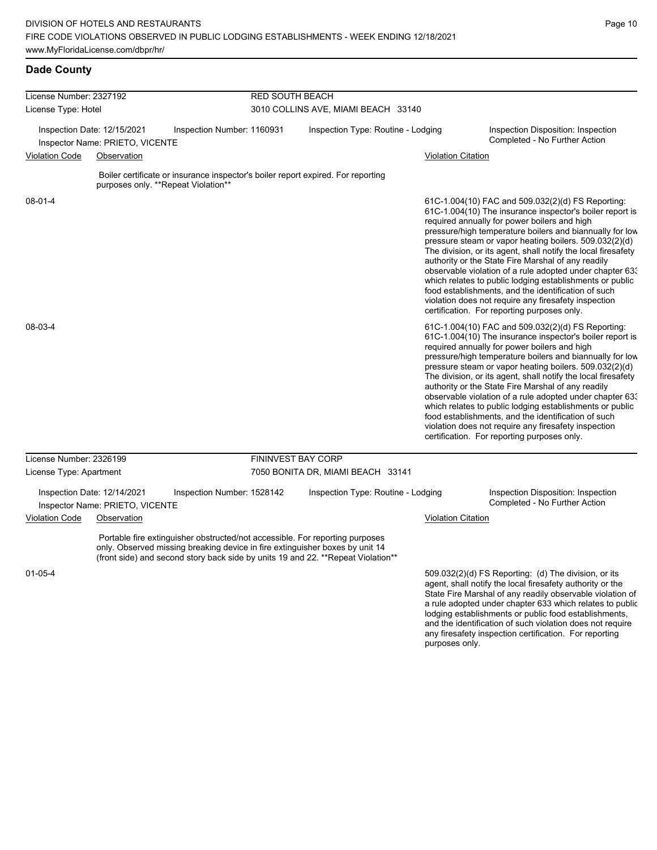| License Number: 2327192<br>License Type: Hotel                 |                                                                |                                                                                                                                                              | <b>RED SOUTH BEACH</b>    |                                                                                  |                           |                                                                                                                                                                                                                                                                                                                                                                                                                                                                                                                                                                                                                                                                                                                                                                                                                                                                                                                                                                                                                                                                                                                                                                                                                                                                                                                                                                                                      |  |  |
|----------------------------------------------------------------|----------------------------------------------------------------|--------------------------------------------------------------------------------------------------------------------------------------------------------------|---------------------------|----------------------------------------------------------------------------------|---------------------------|------------------------------------------------------------------------------------------------------------------------------------------------------------------------------------------------------------------------------------------------------------------------------------------------------------------------------------------------------------------------------------------------------------------------------------------------------------------------------------------------------------------------------------------------------------------------------------------------------------------------------------------------------------------------------------------------------------------------------------------------------------------------------------------------------------------------------------------------------------------------------------------------------------------------------------------------------------------------------------------------------------------------------------------------------------------------------------------------------------------------------------------------------------------------------------------------------------------------------------------------------------------------------------------------------------------------------------------------------------------------------------------------------|--|--|
|                                                                |                                                                |                                                                                                                                                              |                           | 3010 COLLINS AVE, MIAMI BEACH 33140                                              |                           |                                                                                                                                                                                                                                                                                                                                                                                                                                                                                                                                                                                                                                                                                                                                                                                                                                                                                                                                                                                                                                                                                                                                                                                                                                                                                                                                                                                                      |  |  |
| Inspection Date: 12/15/2021<br>Inspector Name: PRIETO, VICENTE |                                                                | Inspection Number: 1160931                                                                                                                                   |                           | Inspection Type: Routine - Lodging                                               |                           | Inspection Disposition: Inspection<br>Completed - No Further Action                                                                                                                                                                                                                                                                                                                                                                                                                                                                                                                                                                                                                                                                                                                                                                                                                                                                                                                                                                                                                                                                                                                                                                                                                                                                                                                                  |  |  |
| <b>Violation Code</b>                                          | Observation                                                    |                                                                                                                                                              |                           |                                                                                  | <b>Violation Citation</b> |                                                                                                                                                                                                                                                                                                                                                                                                                                                                                                                                                                                                                                                                                                                                                                                                                                                                                                                                                                                                                                                                                                                                                                                                                                                                                                                                                                                                      |  |  |
|                                                                |                                                                | Boiler certificate or insurance inspector's boiler report expired. For reporting<br>purposes only. **Repeat Violation**                                      |                           |                                                                                  |                           |                                                                                                                                                                                                                                                                                                                                                                                                                                                                                                                                                                                                                                                                                                                                                                                                                                                                                                                                                                                                                                                                                                                                                                                                                                                                                                                                                                                                      |  |  |
| $08 - 01 - 4$<br>08-03-4                                       |                                                                |                                                                                                                                                              |                           |                                                                                  |                           | 61C-1.004(10) FAC and 509.032(2)(d) FS Reporting:<br>61C-1.004(10) The insurance inspector's boiler report is<br>required annually for power boilers and high<br>pressure/high temperature boilers and biannually for low<br>pressure steam or vapor heating boilers. 509.032(2)(d)<br>The division, or its agent, shall notify the local firesafety<br>authority or the State Fire Marshal of any readily<br>observable violation of a rule adopted under chapter 63.<br>which relates to public lodging establishments or public<br>food establishments, and the identification of such<br>violation does not require any firesafety inspection<br>certification. For reporting purposes only.<br>61C-1.004(10) FAC and 509.032(2)(d) FS Reporting:<br>61C-1.004(10) The insurance inspector's boiler report is<br>required annually for power boilers and high<br>pressure/high temperature boilers and biannually for low<br>pressure steam or vapor heating boilers. 509.032(2)(d)<br>The division, or its agent, shall notify the local firesafety<br>authority or the State Fire Marshal of any readily<br>observable violation of a rule adopted under chapter 63.<br>which relates to public lodging establishments or public<br>food establishments, and the identification of such<br>violation does not require any firesafety inspection<br>certification. For reporting purposes only. |  |  |
| License Number: 2326199                                        |                                                                |                                                                                                                                                              | <b>FININVEST BAY CORP</b> |                                                                                  |                           |                                                                                                                                                                                                                                                                                                                                                                                                                                                                                                                                                                                                                                                                                                                                                                                                                                                                                                                                                                                                                                                                                                                                                                                                                                                                                                                                                                                                      |  |  |
| License Type: Apartment                                        |                                                                |                                                                                                                                                              |                           | 7050 BONITA DR, MIAMI BEACH 33141                                                |                           |                                                                                                                                                                                                                                                                                                                                                                                                                                                                                                                                                                                                                                                                                                                                                                                                                                                                                                                                                                                                                                                                                                                                                                                                                                                                                                                                                                                                      |  |  |
|                                                                | Inspection Date: 12/14/2021<br>Inspector Name: PRIETO, VICENTE | Inspection Number: 1528142                                                                                                                                   |                           | Inspection Type: Routine - Lodging                                               |                           | Inspection Disposition: Inspection<br>Completed - No Further Action                                                                                                                                                                                                                                                                                                                                                                                                                                                                                                                                                                                                                                                                                                                                                                                                                                                                                                                                                                                                                                                                                                                                                                                                                                                                                                                                  |  |  |
| <b>Violation Code</b>                                          | Observation                                                    |                                                                                                                                                              |                           |                                                                                  | <b>Violation Citation</b> |                                                                                                                                                                                                                                                                                                                                                                                                                                                                                                                                                                                                                                                                                                                                                                                                                                                                                                                                                                                                                                                                                                                                                                                                                                                                                                                                                                                                      |  |  |
|                                                                |                                                                | Portable fire extinguisher obstructed/not accessible. For reporting purposes<br>only. Observed missing breaking device in fire extinguisher boxes by unit 14 |                           | (front side) and second story back side by units 19 and 22. **Repeat Violation** |                           |                                                                                                                                                                                                                                                                                                                                                                                                                                                                                                                                                                                                                                                                                                                                                                                                                                                                                                                                                                                                                                                                                                                                                                                                                                                                                                                                                                                                      |  |  |
| $01 - 05 - 4$                                                  |                                                                |                                                                                                                                                              |                           |                                                                                  |                           | $509.032(2)(d)$ FS Reporting: (d) The division, or its<br>agent, shall notify the local firesafety authority or the<br>State Fire Marshal of any readily observable violation of<br>a rule adopted under chapter 633 which relates to public<br>lodging establishments or public food establishments,                                                                                                                                                                                                                                                                                                                                                                                                                                                                                                                                                                                                                                                                                                                                                                                                                                                                                                                                                                                                                                                                                                |  |  |

and the identification of such violation does not require any firesafety inspection certification. For reporting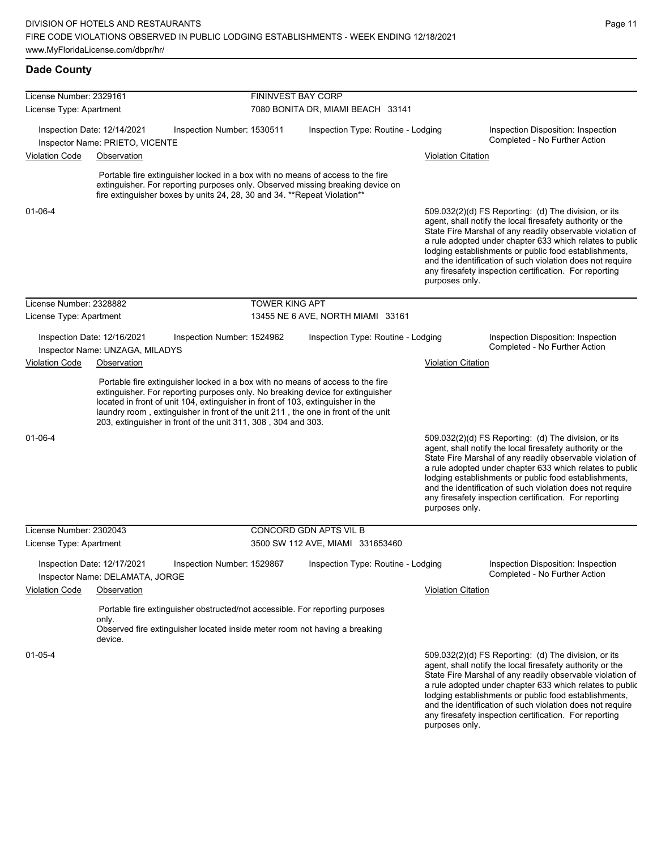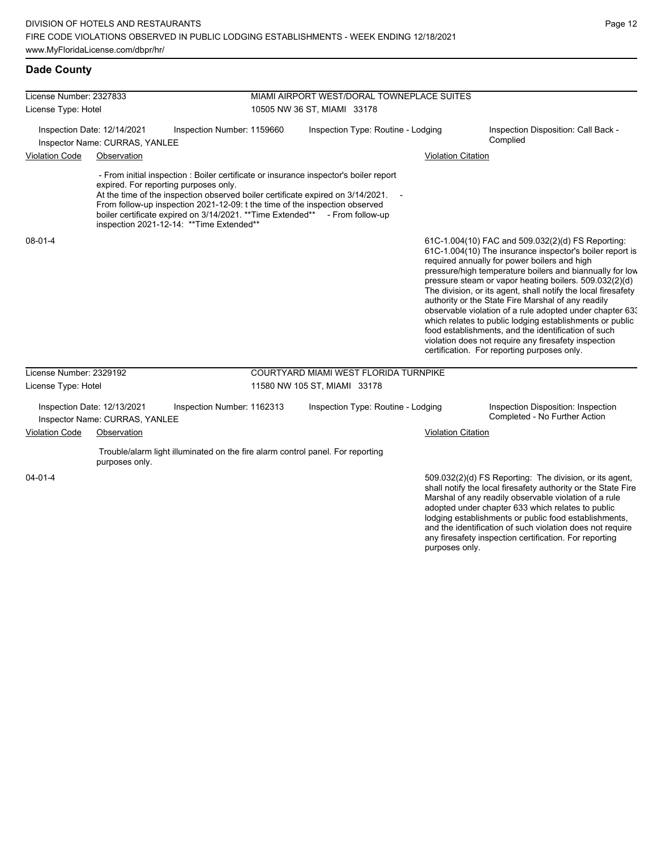| License Number: 2327833 |                                                               |                                                                                                                                                                                                                                                                                                                                                                                                                              | MIAMI AIRPORT WEST/DORAL TOWNEPLACE SUITES |                           |                                                                                                                                                                                                                                                                                                                                                                                                                                                                                                                                                                                                                                                                                                  |  |  |  |
|-------------------------|---------------------------------------------------------------|------------------------------------------------------------------------------------------------------------------------------------------------------------------------------------------------------------------------------------------------------------------------------------------------------------------------------------------------------------------------------------------------------------------------------|--------------------------------------------|---------------------------|--------------------------------------------------------------------------------------------------------------------------------------------------------------------------------------------------------------------------------------------------------------------------------------------------------------------------------------------------------------------------------------------------------------------------------------------------------------------------------------------------------------------------------------------------------------------------------------------------------------------------------------------------------------------------------------------------|--|--|--|
| License Type: Hotel     |                                                               |                                                                                                                                                                                                                                                                                                                                                                                                                              | 10505 NW 36 ST, MIAMI 33178                |                           |                                                                                                                                                                                                                                                                                                                                                                                                                                                                                                                                                                                                                                                                                                  |  |  |  |
|                         | Inspection Date: 12/14/2021<br>Inspector Name: CURRAS, YANLEE | Inspection Number: 1159660                                                                                                                                                                                                                                                                                                                                                                                                   | Inspection Type: Routine - Lodging         |                           | Inspection Disposition: Call Back -<br>Complied                                                                                                                                                                                                                                                                                                                                                                                                                                                                                                                                                                                                                                                  |  |  |  |
| <b>Violation Code</b>   | Observation                                                   |                                                                                                                                                                                                                                                                                                                                                                                                                              |                                            | <b>Violation Citation</b> |                                                                                                                                                                                                                                                                                                                                                                                                                                                                                                                                                                                                                                                                                                  |  |  |  |
|                         |                                                               | - From initial inspection : Boiler certificate or insurance inspector's boiler report<br>expired. For reporting purposes only.<br>At the time of the inspection observed boiler certificate expired on 3/14/2021.<br>From follow-up inspection 2021-12-09: t the time of the inspection observed<br>boiler certificate expired on 3/14/2021. **Time Extended** - From follow-up<br>inspection 2021-12-14: ** Time Extended** |                                            |                           |                                                                                                                                                                                                                                                                                                                                                                                                                                                                                                                                                                                                                                                                                                  |  |  |  |
| $08 - 01 - 4$           |                                                               |                                                                                                                                                                                                                                                                                                                                                                                                                              |                                            |                           | 61C-1.004(10) FAC and 509.032(2)(d) FS Reporting:<br>61C-1.004(10) The insurance inspector's boiler report is<br>required annually for power boilers and high<br>pressure/high temperature boilers and biannually for low<br>pressure steam or vapor heating boilers. 509.032(2)(d)<br>The division, or its agent, shall notify the local firesafety<br>authority or the State Fire Marshal of any readily<br>observable violation of a rule adopted under chapter 63.<br>which relates to public lodging establishments or public<br>food establishments, and the identification of such<br>violation does not require any firesafety inspection<br>certification. For reporting purposes only. |  |  |  |
| License Number: 2329192 |                                                               |                                                                                                                                                                                                                                                                                                                                                                                                                              | COURTYARD MIAMI WEST FLORIDA TURNPIKE      |                           |                                                                                                                                                                                                                                                                                                                                                                                                                                                                                                                                                                                                                                                                                                  |  |  |  |
| License Type: Hotel     |                                                               |                                                                                                                                                                                                                                                                                                                                                                                                                              | 11580 NW 105 ST, MIAMI 33178               |                           |                                                                                                                                                                                                                                                                                                                                                                                                                                                                                                                                                                                                                                                                                                  |  |  |  |
|                         | Inspection Date: 12/13/2021<br>Inspector Name: CURRAS, YANLEE | Inspection Number: 1162313                                                                                                                                                                                                                                                                                                                                                                                                   | Inspection Type: Routine - Lodging         |                           | Inspection Disposition: Inspection<br>Completed - No Further Action                                                                                                                                                                                                                                                                                                                                                                                                                                                                                                                                                                                                                              |  |  |  |
| <b>Violation Code</b>   | Observation                                                   |                                                                                                                                                                                                                                                                                                                                                                                                                              |                                            | <b>Violation Citation</b> |                                                                                                                                                                                                                                                                                                                                                                                                                                                                                                                                                                                                                                                                                                  |  |  |  |
|                         | purposes only.                                                | Trouble/alarm light illuminated on the fire alarm control panel. For reporting                                                                                                                                                                                                                                                                                                                                               |                                            |                           |                                                                                                                                                                                                                                                                                                                                                                                                                                                                                                                                                                                                                                                                                                  |  |  |  |
| $04 - 01 - 4$           |                                                               |                                                                                                                                                                                                                                                                                                                                                                                                                              |                                            |                           | 509.032(2)(d) FS Reporting: The division, or its agent,<br>shall notify the local firesafety authority or the State Fire<br>Marshal of any readily observable violation of a rule<br>adopted under chapter 633 which relates to public<br>lodging establishments or public food establishments,                                                                                                                                                                                                                                                                                                                                                                                                  |  |  |  |

and the identification of such violation does not require any firesafety inspection certification. For reporting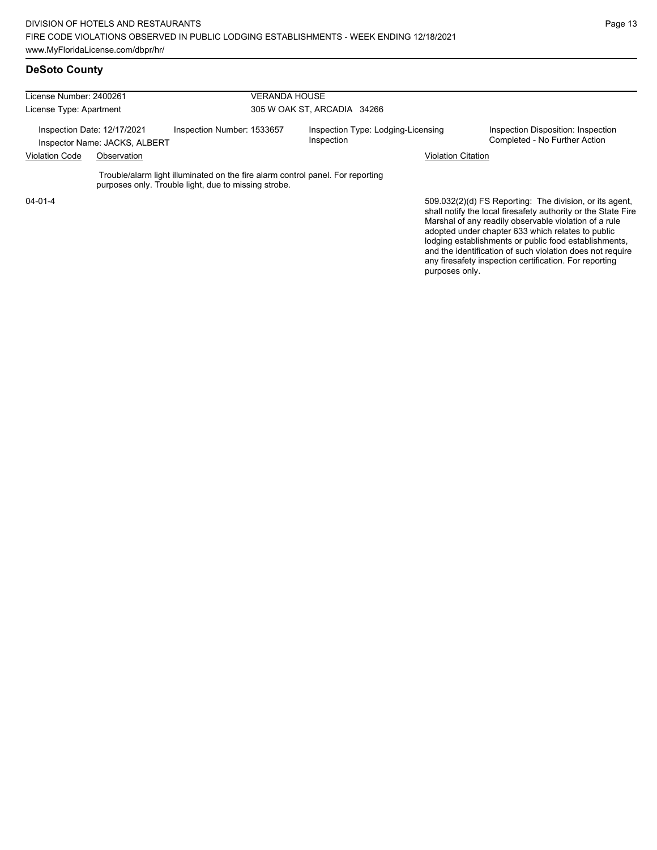#### **DeSoto County**

| License Number: 2400261                                      |  |                                                                                                                                        | <b>VERANDA HOUSE</b>        |                                    |                                                                                                                                                                                                                                        |  |  |
|--------------------------------------------------------------|--|----------------------------------------------------------------------------------------------------------------------------------------|-----------------------------|------------------------------------|----------------------------------------------------------------------------------------------------------------------------------------------------------------------------------------------------------------------------------------|--|--|
| License Type: Apartment                                      |  |                                                                                                                                        | 305 W OAK ST, ARCADIA 34266 |                                    |                                                                                                                                                                                                                                        |  |  |
| Inspection Date: 12/17/2021<br>Inspector Name: JACKS, ALBERT |  | Inspection Number: 1533657                                                                                                             | Inspection                  | Inspection Type: Lodging-Licensing | Inspection Disposition: Inspection<br>Completed - No Further Action                                                                                                                                                                    |  |  |
| <b>Violation Code</b><br>Observation                         |  |                                                                                                                                        |                             |                                    | <b>Violation Citation</b>                                                                                                                                                                                                              |  |  |
|                                                              |  | Trouble/alarm light illuminated on the fire alarm control panel. For reporting<br>purposes only. Trouble light, due to missing strobe. |                             |                                    |                                                                                                                                                                                                                                        |  |  |
| $04 - 01 - 4$                                                |  |                                                                                                                                        |                             |                                    | 509.032(2)(d) FS Reporting: The division, or its agent,<br>shall notify the local firesafety authority or the State Fire<br>Marshal of any readily observable violation of a rule<br>adopted under chapter 633 which relates to public |  |  |

adopted under chapter 633 which relates to public lodging establishments or public food establishments, and the identification of such violation does not require any firesafety inspection certification. For reporting purposes only.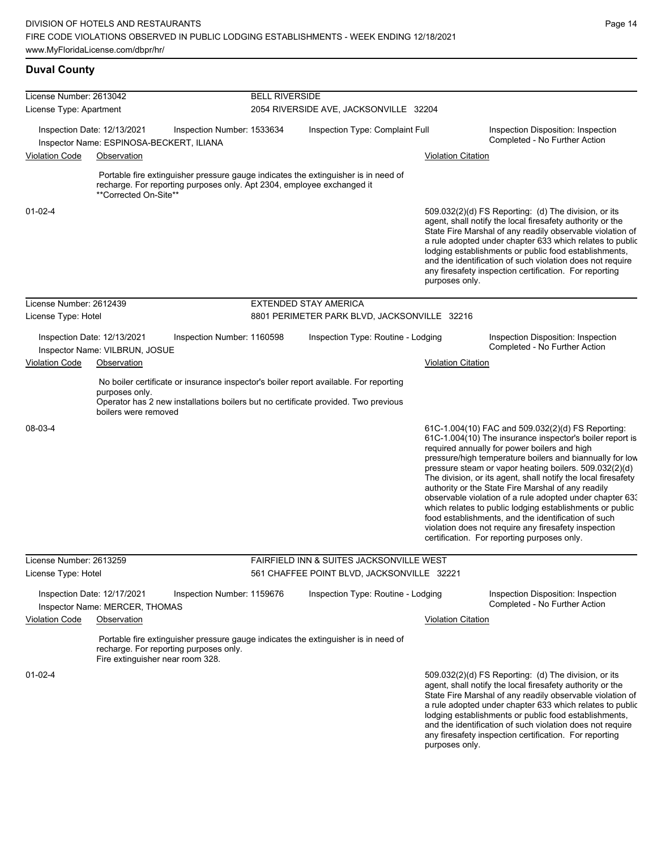# **Duval County**

| License Number: 2613042                                                                               |                                                               | <b>BELL RIVERSIDE</b>                                                  |                                        |                                                                                                                                                                             |                                                                     |                                                                                                                                                                                                                                                                                                                                                                                                                                                                                                                                                                                                                                                                                                  |
|-------------------------------------------------------------------------------------------------------|---------------------------------------------------------------|------------------------------------------------------------------------|----------------------------------------|-----------------------------------------------------------------------------------------------------------------------------------------------------------------------------|---------------------------------------------------------------------|--------------------------------------------------------------------------------------------------------------------------------------------------------------------------------------------------------------------------------------------------------------------------------------------------------------------------------------------------------------------------------------------------------------------------------------------------------------------------------------------------------------------------------------------------------------------------------------------------------------------------------------------------------------------------------------------------|
| License Type: Apartment                                                                               |                                                               |                                                                        | 2054 RIVERSIDE AVE, JACKSONVILLE 32204 |                                                                                                                                                                             |                                                                     |                                                                                                                                                                                                                                                                                                                                                                                                                                                                                                                                                                                                                                                                                                  |
| Inspection Date: 12/13/2021<br>Inspection Number: 1533634<br>Inspector Name: ESPINOSA-BECKERT, ILIANA |                                                               |                                                                        | Inspection Type: Complaint Full        |                                                                                                                                                                             | Inspection Disposition: Inspection<br>Completed - No Further Action |                                                                                                                                                                                                                                                                                                                                                                                                                                                                                                                                                                                                                                                                                                  |
| <b>Violation Code</b>                                                                                 | Observation                                                   |                                                                        |                                        |                                                                                                                                                                             | <b>Violation Citation</b>                                           |                                                                                                                                                                                                                                                                                                                                                                                                                                                                                                                                                                                                                                                                                                  |
|                                                                                                       | **Corrected On-Site**                                         | recharge. For reporting purposes only. Apt 2304, employee exchanged it |                                        | Portable fire extinguisher pressure gauge indicates the extinguisher is in need of                                                                                          |                                                                     |                                                                                                                                                                                                                                                                                                                                                                                                                                                                                                                                                                                                                                                                                                  |
| $01 - 02 - 4$                                                                                         |                                                               |                                                                        |                                        |                                                                                                                                                                             | purposes only.                                                      | 509.032(2)(d) FS Reporting: (d) The division, or its<br>agent, shall notify the local firesafety authority or the<br>State Fire Marshal of any readily observable violation of<br>a rule adopted under chapter 633 which relates to public<br>lodging establishments or public food establishments,<br>and the identification of such violation does not require<br>any firesafety inspection certification. For reporting                                                                                                                                                                                                                                                                       |
| License Number: 2612439                                                                               |                                                               |                                                                        |                                        | <b>EXTENDED STAY AMERICA</b>                                                                                                                                                |                                                                     |                                                                                                                                                                                                                                                                                                                                                                                                                                                                                                                                                                                                                                                                                                  |
| License Type: Hotel                                                                                   |                                                               |                                                                        |                                        | 8801 PERIMETER PARK BLVD, JACKSONVILLE 32216                                                                                                                                |                                                                     |                                                                                                                                                                                                                                                                                                                                                                                                                                                                                                                                                                                                                                                                                                  |
|                                                                                                       | Inspection Date: 12/13/2021<br>Inspector Name: VILBRUN, JOSUE | Inspection Number: 1160598                                             |                                        | Inspection Type: Routine - Lodging                                                                                                                                          |                                                                     | Inspection Disposition: Inspection<br>Completed - No Further Action                                                                                                                                                                                                                                                                                                                                                                                                                                                                                                                                                                                                                              |
| <b>Violation Code</b><br>Observation                                                                  |                                                               |                                                                        |                                        |                                                                                                                                                                             | <b>Violation Citation</b>                                           |                                                                                                                                                                                                                                                                                                                                                                                                                                                                                                                                                                                                                                                                                                  |
|                                                                                                       | purposes only.<br>boilers were removed                        |                                                                        |                                        | No boiler certificate or insurance inspector's boiler report available. For reporting<br>Operator has 2 new installations boilers but no certificate provided. Two previous |                                                                     |                                                                                                                                                                                                                                                                                                                                                                                                                                                                                                                                                                                                                                                                                                  |
| 08-03-4                                                                                               |                                                               |                                                                        |                                        |                                                                                                                                                                             |                                                                     | 61C-1.004(10) FAC and 509.032(2)(d) FS Reporting:<br>61C-1.004(10) The insurance inspector's boiler report is<br>required annually for power boilers and high<br>pressure/high temperature boilers and biannually for low<br>pressure steam or vapor heating boilers. 509.032(2)(d)<br>The division, or its agent, shall notify the local firesafety<br>authority or the State Fire Marshal of any readily<br>observable violation of a rule adopted under chapter 63.<br>which relates to public lodging establishments or public<br>food establishments, and the identification of such<br>violation does not require any firesafety inspection<br>certification. For reporting purposes only. |
| License Number: 2613259                                                                               |                                                               |                                                                        |                                        | FAIRFIELD INN & SUITES JACKSONVILLE WEST                                                                                                                                    |                                                                     |                                                                                                                                                                                                                                                                                                                                                                                                                                                                                                                                                                                                                                                                                                  |
| License Type: Hotel                                                                                   |                                                               |                                                                        |                                        | 561 CHAFFEE POINT BLVD, JACKSONVILLE 32221                                                                                                                                  |                                                                     |                                                                                                                                                                                                                                                                                                                                                                                                                                                                                                                                                                                                                                                                                                  |
|                                                                                                       | Inspection Date: 12/17/2021<br>Inspector Name: MERCER, THOMAS | Inspection Number: 1159676                                             |                                        | Inspection Type: Routine - Lodging                                                                                                                                          |                                                                     | Inspection Disposition: Inspection<br>Completed - No Further Action                                                                                                                                                                                                                                                                                                                                                                                                                                                                                                                                                                                                                              |
| <b>Violation Code</b>                                                                                 | Observation                                                   |                                                                        |                                        |                                                                                                                                                                             | <b>Violation Citation</b>                                           |                                                                                                                                                                                                                                                                                                                                                                                                                                                                                                                                                                                                                                                                                                  |
|                                                                                                       | Fire extinguisher near room 328.                              | recharge. For reporting purposes only.                                 |                                        | Portable fire extinguisher pressure gauge indicates the extinguisher is in need of                                                                                          |                                                                     |                                                                                                                                                                                                                                                                                                                                                                                                                                                                                                                                                                                                                                                                                                  |
| 01-02-4                                                                                               |                                                               |                                                                        |                                        |                                                                                                                                                                             | purposes only.                                                      | 509.032(2)(d) FS Reporting (d) The division, or its<br>agent, shall notify the local firesafety authority or the<br>State Fire Marshal of any readily observable violation of<br>a rule adopted under chapter 633 which relates to public<br>lodging establishments or public food establishments,<br>and the identification of such violation does not require<br>any firesafety inspection certification. For reporting                                                                                                                                                                                                                                                                        |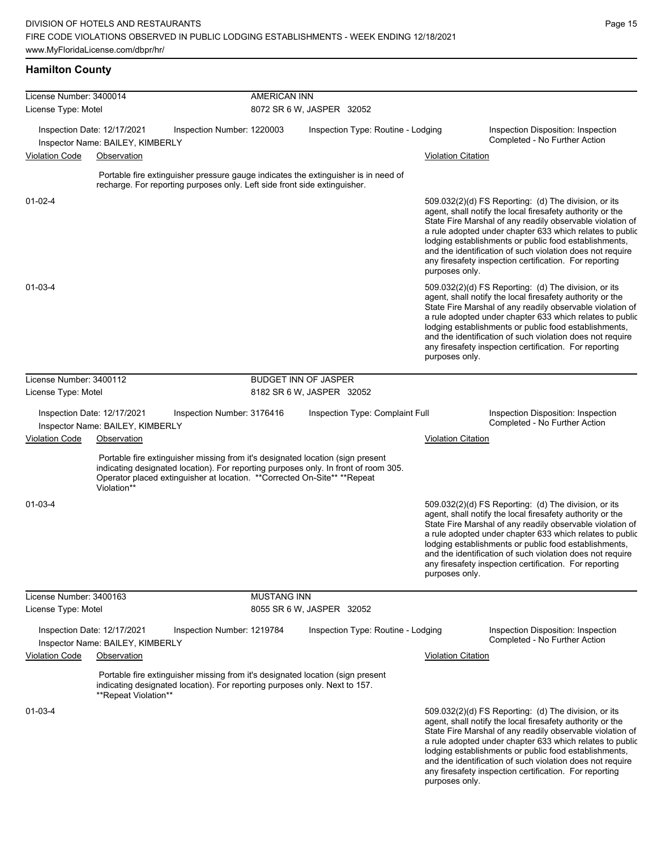## **Hamilton County**

| License Number: 3400014 |                                                                 | <b>AMERICAN INN</b>                                                                                                                                                                                                                                 |                           |                                    |                           |                                                                                                                                                                                                                                                                                                                                                                                                                            |  |
|-------------------------|-----------------------------------------------------------------|-----------------------------------------------------------------------------------------------------------------------------------------------------------------------------------------------------------------------------------------------------|---------------------------|------------------------------------|---------------------------|----------------------------------------------------------------------------------------------------------------------------------------------------------------------------------------------------------------------------------------------------------------------------------------------------------------------------------------------------------------------------------------------------------------------------|--|
| License Type: Motel     |                                                                 |                                                                                                                                                                                                                                                     | 8072 SR 6 W, JASPER 32052 |                                    |                           |                                                                                                                                                                                                                                                                                                                                                                                                                            |  |
|                         |                                                                 |                                                                                                                                                                                                                                                     |                           |                                    |                           |                                                                                                                                                                                                                                                                                                                                                                                                                            |  |
|                         | Inspection Date: 12/17/2021<br>Inspector Name: BAILEY, KIMBERLY | Inspection Number: 1220003                                                                                                                                                                                                                          |                           | Inspection Type: Routine - Lodging |                           | Inspection Disposition: Inspection<br>Completed - No Further Action                                                                                                                                                                                                                                                                                                                                                        |  |
| <b>Violation Code</b>   | Observation                                                     |                                                                                                                                                                                                                                                     |                           |                                    | Violation Citation        |                                                                                                                                                                                                                                                                                                                                                                                                                            |  |
|                         |                                                                 | Portable fire extinguisher pressure gauge indicates the extinguisher is in need of<br>recharge. For reporting purposes only. Left side front side extinguisher.                                                                                     |                           |                                    |                           |                                                                                                                                                                                                                                                                                                                                                                                                                            |  |
| $01 - 02 - 4$           |                                                                 |                                                                                                                                                                                                                                                     |                           |                                    |                           | 509.032(2)(d) FS Reporting: (d) The division, or its                                                                                                                                                                                                                                                                                                                                                                       |  |
|                         |                                                                 |                                                                                                                                                                                                                                                     |                           |                                    | purposes only.            | agent, shall notify the local firesafety authority or the<br>State Fire Marshal of any readily observable violation of<br>a rule adopted under chapter 633 which relates to public<br>lodging establishments or public food establishments,<br>and the identification of such violation does not require<br>any firesafety inspection certification. For reporting                                                         |  |
| 01-03-4                 |                                                                 |                                                                                                                                                                                                                                                     |                           |                                    | purposes only.            | 509.032(2)(d) FS Reporting: (d) The division, or its<br>agent, shall notify the local firesafety authority or the<br>State Fire Marshal of any readily observable violation of<br>a rule adopted under chapter 633 which relates to public<br>lodging establishments or public food establishments,<br>and the identification of such violation does not require<br>any firesafety inspection certification. For reporting |  |
| License Number: 3400112 |                                                                 |                                                                                                                                                                                                                                                     |                           | <b>BUDGET INN OF JASPER</b>        |                           |                                                                                                                                                                                                                                                                                                                                                                                                                            |  |
| License Type: Motel     |                                                                 |                                                                                                                                                                                                                                                     |                           | 8182 SR 6 W, JASPER 32052          |                           |                                                                                                                                                                                                                                                                                                                                                                                                                            |  |
|                         | Inspection Date: 12/17/2021<br>Inspector Name: BAILEY, KIMBERLY | Inspection Number: 3176416                                                                                                                                                                                                                          |                           | Inspection Type: Complaint Full    |                           | Inspection Disposition: Inspection<br>Completed - No Further Action                                                                                                                                                                                                                                                                                                                                                        |  |
| <b>Violation Code</b>   | Observation                                                     |                                                                                                                                                                                                                                                     |                           |                                    | <b>Violation Citation</b> |                                                                                                                                                                                                                                                                                                                                                                                                                            |  |
|                         | Violation**                                                     | Portable fire extinguisher missing from it's designated location (sign present<br>indicating designated location). For reporting purposes only. In front of room 305.<br>Operator placed extinguisher at location. ** Corrected On-Site** ** Repeat |                           |                                    |                           |                                                                                                                                                                                                                                                                                                                                                                                                                            |  |
| 01-03-4                 |                                                                 |                                                                                                                                                                                                                                                     |                           |                                    | purposes only.            | 509.032(2)(d) FS Reporting: (d) The division, or its<br>agent, shall notify the local firesafety authority or the<br>State Fire Marshal of any readily observable violation of<br>a rule adopted under chapter 633 which relates to public<br>lodging establishments or public food establishments,<br>and the identification of such violation does not require<br>any firesafety inspection certification. For reporting |  |
| License Number: 3400163 |                                                                 |                                                                                                                                                                                                                                                     | <b>MUSTANG INN</b>        |                                    |                           |                                                                                                                                                                                                                                                                                                                                                                                                                            |  |
| License Type: Motel     |                                                                 |                                                                                                                                                                                                                                                     |                           | 8055 SR 6 W, JASPER 32052          |                           |                                                                                                                                                                                                                                                                                                                                                                                                                            |  |
|                         | Inspection Date: 12/17/2021                                     | Inspection Number: 1219784                                                                                                                                                                                                                          |                           | Inspection Type: Routine - Lodging |                           | Inspection Disposition: Inspection<br>Completed - No Further Action                                                                                                                                                                                                                                                                                                                                                        |  |
| <b>Violation Code</b>   | Inspector Name: BAILEY, KIMBERLY<br>Observation                 |                                                                                                                                                                                                                                                     |                           |                                    | <b>Violation Citation</b> |                                                                                                                                                                                                                                                                                                                                                                                                                            |  |
|                         | **Repeat Violation**                                            | Portable fire extinguisher missing from it's designated location (sign present<br>indicating designated location). For reporting purposes only. Next to 157.                                                                                        |                           |                                    |                           |                                                                                                                                                                                                                                                                                                                                                                                                                            |  |
| 01-03-4                 |                                                                 |                                                                                                                                                                                                                                                     |                           |                                    |                           | 509.032(2)(d) FS Reporting: (d) The division, or its<br>agent, shall notify the local firesafety authority or the<br>State Fire Marshal of any readily observable violation of<br>a rule adopted under chapter 633 which relates to public<br>lodging establishments or public food establishments,<br>and the identification of such violation does not require<br>any firesafety inspection certification. For reporting |  |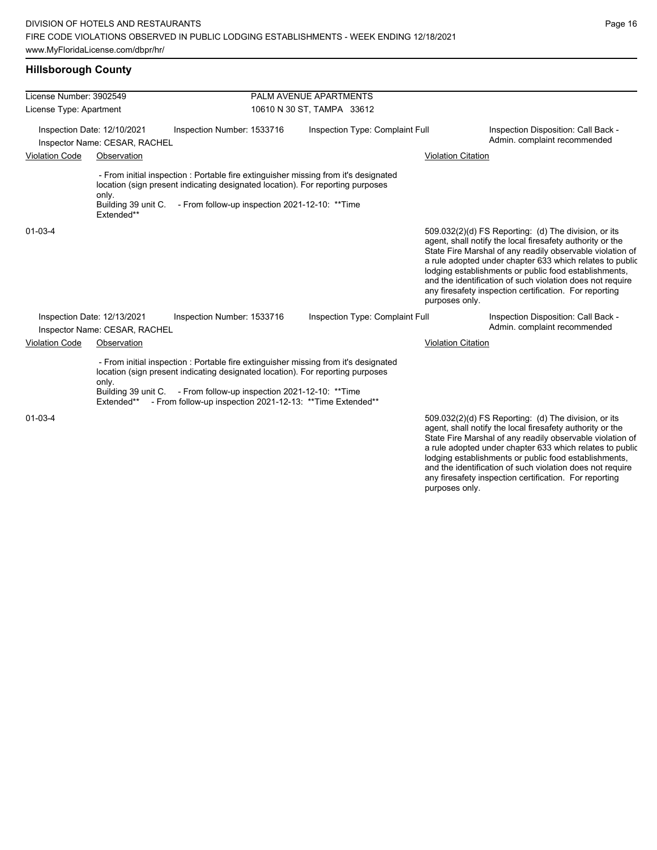#### **Hillsborough County**

| License Number: 3902549 |                                                              |                                                                                                                                                                                                                                                                                                            | PALM AVENUE APARTMENTS          |                           |                                                                                                                                                                                                                                                                                                                                                                                                                            |
|-------------------------|--------------------------------------------------------------|------------------------------------------------------------------------------------------------------------------------------------------------------------------------------------------------------------------------------------------------------------------------------------------------------------|---------------------------------|---------------------------|----------------------------------------------------------------------------------------------------------------------------------------------------------------------------------------------------------------------------------------------------------------------------------------------------------------------------------------------------------------------------------------------------------------------------|
| License Type: Apartment |                                                              |                                                                                                                                                                                                                                                                                                            | 10610 N 30 ST, TAMPA 33612      |                           |                                                                                                                                                                                                                                                                                                                                                                                                                            |
|                         | Inspection Date: 12/10/2021<br>Inspector Name: CESAR, RACHEL | Inspection Number: 1533716                                                                                                                                                                                                                                                                                 | Inspection Type: Complaint Full |                           | Inspection Disposition: Call Back -<br>Admin. complaint recommended                                                                                                                                                                                                                                                                                                                                                        |
| <b>Violation Code</b>   | Observation                                                  |                                                                                                                                                                                                                                                                                                            |                                 | <b>Violation Citation</b> |                                                                                                                                                                                                                                                                                                                                                                                                                            |
|                         |                                                              |                                                                                                                                                                                                                                                                                                            |                                 |                           |                                                                                                                                                                                                                                                                                                                                                                                                                            |
|                         | only.<br>Building 39 unit C.<br>Extended**                   | - From initial inspection : Portable fire extinguisher missing from it's designated<br>location (sign present indicating designated location). For reporting purposes<br>- From follow-up inspection 2021-12-10: **Time                                                                                    |                                 |                           |                                                                                                                                                                                                                                                                                                                                                                                                                            |
| $01 - 03 - 4$           |                                                              |                                                                                                                                                                                                                                                                                                            |                                 | purposes only.            | 509.032(2)(d) FS Reporting: (d) The division, or its<br>agent, shall notify the local firesafety authority or the<br>State Fire Marshal of any readily observable violation of<br>a rule adopted under chapter 633 which relates to public<br>lodging establishments or public food establishments,<br>and the identification of such violation does not require<br>any firesafety inspection certification. For reporting |
|                         | Inspection Date: 12/13/2021<br>Inspector Name: CESAR, RACHEL | Inspection Number: 1533716                                                                                                                                                                                                                                                                                 | Inspection Type: Complaint Full |                           | Inspection Disposition: Call Back -<br>Admin. complaint recommended                                                                                                                                                                                                                                                                                                                                                        |
| <b>Violation Code</b>   | Observation                                                  |                                                                                                                                                                                                                                                                                                            |                                 | <b>Violation Citation</b> |                                                                                                                                                                                                                                                                                                                                                                                                                            |
|                         | only.<br>Extended**                                          | - From initial inspection : Portable fire extinguisher missing from it's designated<br>location (sign present indicating designated location). For reporting purposes<br>Building 39 unit C. - From follow-up inspection 2021-12-10: ** Time<br>- From follow-up inspection 2021-12-13: ** Time Extended** |                                 |                           |                                                                                                                                                                                                                                                                                                                                                                                                                            |
| $01 - 03 - 4$           |                                                              |                                                                                                                                                                                                                                                                                                            |                                 |                           | 509.032(2)(d) FS Reporting: (d) The division, or its<br>agent, shall notify the local firesafety authority or the                                                                                                                                                                                                                                                                                                          |

agent, shall notify the local firesafety authority or the State Fire Marshal of any readily observable violation of a rule adopted under chapter 633 which relates to public lodging establishments or public food establishments, and the identification of such violation does not require any firesafety inspection certification. For reporting purposes only.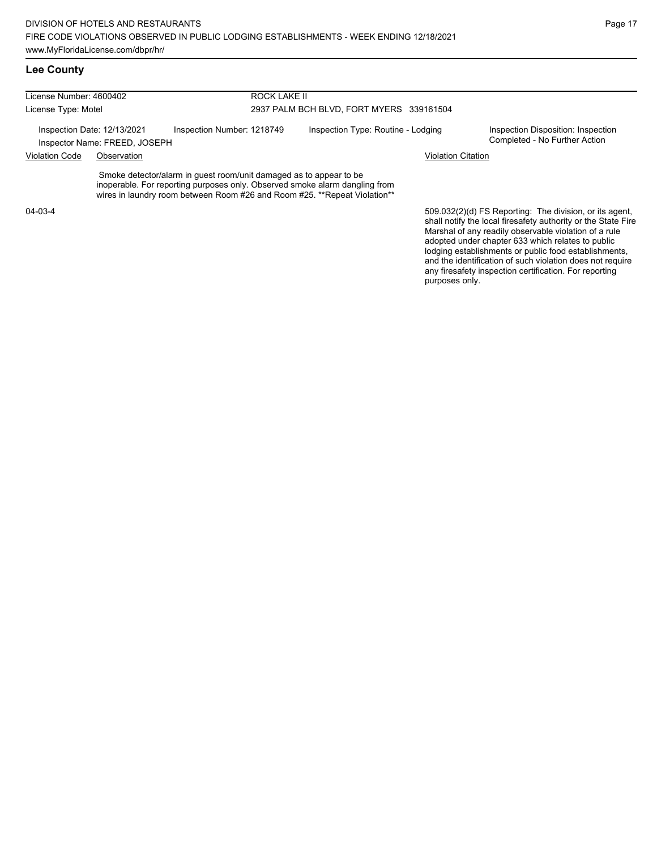lodging establishments or public food establishments, and the identification of such violation does not require any firesafety inspection certification. For reporting

purposes only.

## **Lee County**

| License Number: 4600402                                      |  | ROCK LAKE II                                                                                                                                                                                                                   |                                          |  |                                                                                                                                                                                                                                        |  |  |
|--------------------------------------------------------------|--|--------------------------------------------------------------------------------------------------------------------------------------------------------------------------------------------------------------------------------|------------------------------------------|--|----------------------------------------------------------------------------------------------------------------------------------------------------------------------------------------------------------------------------------------|--|--|
| License Type: Motel                                          |  |                                                                                                                                                                                                                                | 2937 PALM BCH BLVD, FORT MYERS 339161504 |  |                                                                                                                                                                                                                                        |  |  |
| Inspection Date: 12/13/2021<br>Inspector Name: FREED, JOSEPH |  | Inspection Number: 1218749                                                                                                                                                                                                     | Inspection Type: Routine - Lodging       |  | Inspection Disposition: Inspection<br>Completed - No Further Action                                                                                                                                                                    |  |  |
| <b>Violation Code</b><br>Observation                         |  |                                                                                                                                                                                                                                | <b>Violation Citation</b>                |  |                                                                                                                                                                                                                                        |  |  |
|                                                              |  | Smoke detector/alarm in quest room/unit damaged as to appear to be<br>inoperable. For reporting purposes only. Observed smoke alarm dangling from<br>wires in laundry room between Room #26 and Room #25. **Repeat Violation** |                                          |  |                                                                                                                                                                                                                                        |  |  |
| $04 - 03 - 4$                                                |  |                                                                                                                                                                                                                                |                                          |  | 509.032(2)(d) FS Reporting: The division, or its agent,<br>shall notify the local firesafety authority or the State Fire<br>Marshal of any readily observable violation of a rule<br>adopted under chapter 633 which relates to public |  |  |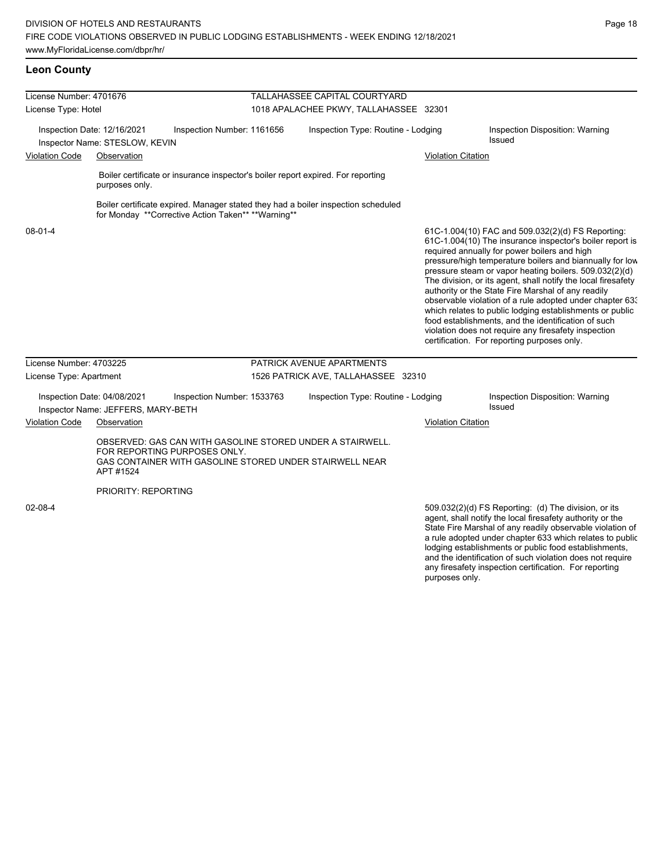lodging establishments or public food establishments, and the identification of such violation does not require any firesafety inspection certification. For reporting

purposes only.

## **Leon County**

| License Number: 4701676 |                                                                   |                                                                                                                                                      | TALLAHASSEE CAPITAL COURTYARD          |                           |                                                                                                                                                                                                                                                                                                                                                                                                                                                                                                                                                                                                                                                                                                  |
|-------------------------|-------------------------------------------------------------------|------------------------------------------------------------------------------------------------------------------------------------------------------|----------------------------------------|---------------------------|--------------------------------------------------------------------------------------------------------------------------------------------------------------------------------------------------------------------------------------------------------------------------------------------------------------------------------------------------------------------------------------------------------------------------------------------------------------------------------------------------------------------------------------------------------------------------------------------------------------------------------------------------------------------------------------------------|
| License Type: Hotel     |                                                                   |                                                                                                                                                      | 1018 APALACHEE PKWY, TALLAHASSEE 32301 |                           |                                                                                                                                                                                                                                                                                                                                                                                                                                                                                                                                                                                                                                                                                                  |
|                         | Inspection Date: 12/16/2021<br>Inspector Name: STESLOW, KEVIN     | Inspection Number: 1161656                                                                                                                           | Inspection Type: Routine - Lodging     |                           | Inspection Disposition: Warning<br>Issued                                                                                                                                                                                                                                                                                                                                                                                                                                                                                                                                                                                                                                                        |
| <b>Violation Code</b>   | Observation                                                       |                                                                                                                                                      |                                        | <b>Violation Citation</b> |                                                                                                                                                                                                                                                                                                                                                                                                                                                                                                                                                                                                                                                                                                  |
|                         | purposes only.                                                    | Boiler certificate or insurance inspector's boiler report expired. For reporting                                                                     |                                        |                           |                                                                                                                                                                                                                                                                                                                                                                                                                                                                                                                                                                                                                                                                                                  |
|                         |                                                                   | Boiler certificate expired. Manager stated they had a boiler inspection scheduled<br>for Monday ** Corrective Action Taken** ** Warning**            |                                        |                           |                                                                                                                                                                                                                                                                                                                                                                                                                                                                                                                                                                                                                                                                                                  |
| $08 - 01 - 4$           |                                                                   |                                                                                                                                                      |                                        |                           | 61C-1.004(10) FAC and 509.032(2)(d) FS Reporting:<br>61C-1.004(10) The insurance inspector's boiler report is<br>required annually for power boilers and high<br>pressure/high temperature boilers and biannually for low<br>pressure steam or vapor heating boilers. 509.032(2)(d)<br>The division, or its agent, shall notify the local firesafety<br>authority or the State Fire Marshal of any readily<br>observable violation of a rule adopted under chapter 633<br>which relates to public lodging establishments or public<br>food establishments, and the identification of such<br>violation does not require any firesafety inspection<br>certification. For reporting purposes only. |
| License Number: 4703225 |                                                                   |                                                                                                                                                      | PATRICK AVENUE APARTMENTS              |                           |                                                                                                                                                                                                                                                                                                                                                                                                                                                                                                                                                                                                                                                                                                  |
| License Type: Apartment |                                                                   |                                                                                                                                                      | 1526 PATRICK AVE, TALLAHASSEE 32310    |                           |                                                                                                                                                                                                                                                                                                                                                                                                                                                                                                                                                                                                                                                                                                  |
|                         | Inspection Date: 04/08/2021<br>Inspector Name: JEFFERS, MARY-BETH | Inspection Number: 1533763                                                                                                                           | Inspection Type: Routine - Lodging     |                           | Inspection Disposition: Warning<br>Issued                                                                                                                                                                                                                                                                                                                                                                                                                                                                                                                                                                                                                                                        |
| <b>Violation Code</b>   | Observation                                                       |                                                                                                                                                      |                                        | <b>Violation Citation</b> |                                                                                                                                                                                                                                                                                                                                                                                                                                                                                                                                                                                                                                                                                                  |
|                         | APT #1524                                                         | OBSERVED: GAS CAN WITH GASOLINE STORED UNDER A STAIRWELL.<br>FOR REPORTING PURPOSES ONLY.<br>GAS CONTAINER WITH GASOLINE STORED UNDER STAIRWELL NEAR |                                        |                           |                                                                                                                                                                                                                                                                                                                                                                                                                                                                                                                                                                                                                                                                                                  |
|                         | <b>PRIORITY: REPORTING</b>                                        |                                                                                                                                                      |                                        |                           |                                                                                                                                                                                                                                                                                                                                                                                                                                                                                                                                                                                                                                                                                                  |
| 02-08-4                 |                                                                   |                                                                                                                                                      |                                        |                           | 509.032(2)(d) FS Reporting: (d) The division, or its<br>agent, shall notify the local firesafety authority or the<br>State Fire Marshal of any readily observable violation of<br>a rule adopted under chapter 633 which relates to public                                                                                                                                                                                                                                                                                                                                                                                                                                                       |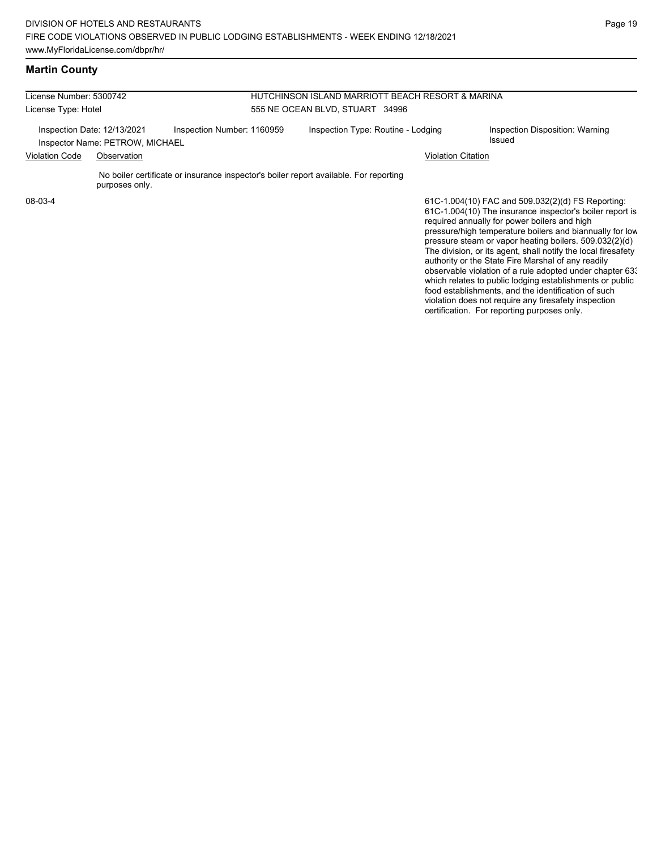#### **Martin County**

| License Number: 5300742       |                                                                |                                                                                       | HUTCHINSON ISLAND MARRIOTT BEACH RESORT & MARINA |                                                                                                                                                                                                                                                                                     |  |  |  |
|-------------------------------|----------------------------------------------------------------|---------------------------------------------------------------------------------------|--------------------------------------------------|-------------------------------------------------------------------------------------------------------------------------------------------------------------------------------------------------------------------------------------------------------------------------------------|--|--|--|
| License Type: Hotel           |                                                                |                                                                                       | 555 NE OCEAN BLVD, STUART 34996                  |                                                                                                                                                                                                                                                                                     |  |  |  |
|                               | Inspection Date: 12/13/2021<br>Inspector Name: PETROW, MICHAEL | Inspection Number: 1160959                                                            | Inspection Type: Routine - Lodging               | Inspection Disposition: Warning<br>Issued                                                                                                                                                                                                                                           |  |  |  |
| Violation Code<br>Observation |                                                                |                                                                                       | <b>Violation Citation</b>                        |                                                                                                                                                                                                                                                                                     |  |  |  |
|                               | purposes only.                                                 | No boiler certificate or insurance inspector's boiler report available. For reporting |                                                  |                                                                                                                                                                                                                                                                                     |  |  |  |
| 08-03-4                       |                                                                |                                                                                       |                                                  | 61C-1.004(10) FAC and 509.032(2)(d) FS Reporting:<br>61C-1.004(10) The insurance inspector's boiler report is<br>required annually for power boilers and high<br>pressure/high temperature boilers and biannually for low<br>pressure steam or vapor heating boilers. 509.032(2)(d) |  |  |  |

pressure steam or vapor heating boilers. 509.032(2)(d) The division, or its agent, shall notify the local firesafety authority or the State Fire Marshal of any readily observable violation of a rule adopted under chapter 633 which relates to public lodging establishments or public food establishments, and the identification of such violation does not require any firesafety inspection certification. For reporting purposes only.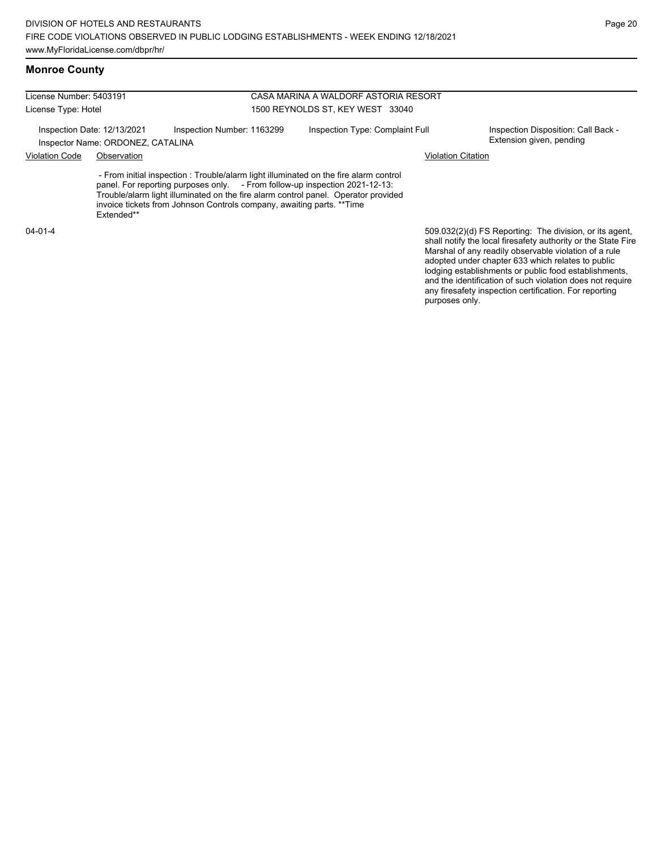and the identification of such violation does not require any firesafety inspection certification. For reporting

purposes only.

Page 20

## **Monroe County**

| License Number: 5403191 |                                   |                                                                                                                                                                                                                                                                                                                                     | CASA MARINA A WALDORF ASTORIA RESORT |                                                                                                                                                                                                                                                                                                 |
|-------------------------|-----------------------------------|-------------------------------------------------------------------------------------------------------------------------------------------------------------------------------------------------------------------------------------------------------------------------------------------------------------------------------------|--------------------------------------|-------------------------------------------------------------------------------------------------------------------------------------------------------------------------------------------------------------------------------------------------------------------------------------------------|
| License Type: Hotel     |                                   |                                                                                                                                                                                                                                                                                                                                     | 1500 REYNOLDS ST. KEY WEST 33040     |                                                                                                                                                                                                                                                                                                 |
|                         | Inspection Date: 12/13/2021       | Inspection Number: 1163299                                                                                                                                                                                                                                                                                                          | Inspection Type: Complaint Full      | Inspection Disposition: Call Back -<br>Extension given, pending                                                                                                                                                                                                                                 |
|                         | Inspector Name: ORDONEZ, CATALINA |                                                                                                                                                                                                                                                                                                                                     |                                      |                                                                                                                                                                                                                                                                                                 |
| <b>Violation Code</b>   | Observation                       |                                                                                                                                                                                                                                                                                                                                     |                                      | Violation Citation                                                                                                                                                                                                                                                                              |
|                         | Extended**                        | - From initial inspection: Trouble/alarm light illuminated on the fire alarm control<br>panel. For reporting purposes only. - From follow-up inspection 2021-12-13:<br>Trouble/alarm light illuminated on the fire alarm control panel. Operator provided<br>invoice tickets from Johnson Controls company, awaiting parts. ** Time |                                      |                                                                                                                                                                                                                                                                                                 |
| $04 - 01 - 4$           |                                   |                                                                                                                                                                                                                                                                                                                                     |                                      | 509.032(2)(d) FS Reporting: The division, or its agent.<br>shall notify the local firesafety authority or the State Fire<br>Marshal of any readily observable violation of a rule<br>adopted under chapter 633 which relates to public<br>lodging establishments or public food establishments, |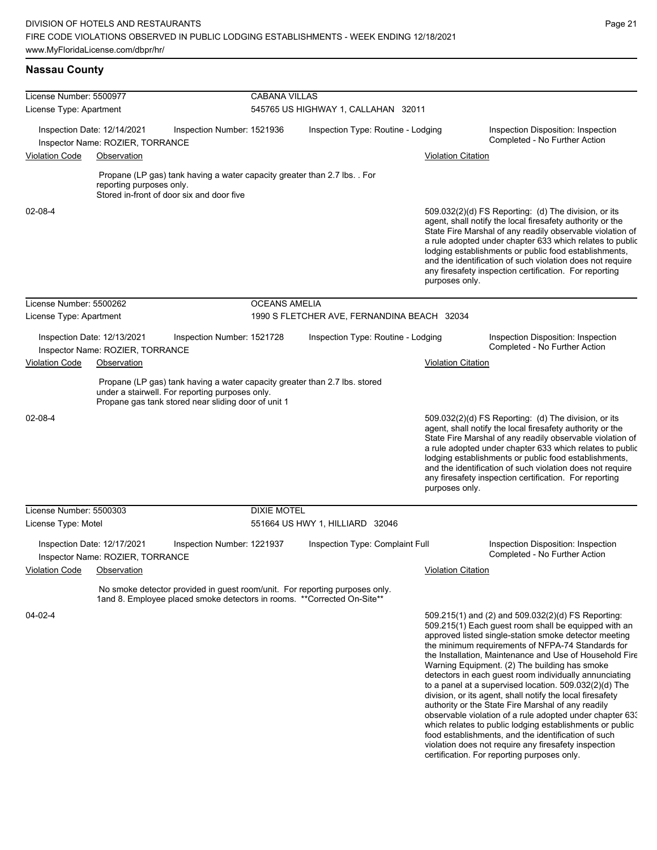## **Nassau County**

| License Number: 5500977 |                                                                 |                                                                                                                                                                                      | <b>CABANA VILLAS</b>                        |                           |                                                                                                                                                                                                                                                                                                                                                                                                                                                                                                                                                                                                                                                                                                                                                                                                                      |  |  |
|-------------------------|-----------------------------------------------------------------|--------------------------------------------------------------------------------------------------------------------------------------------------------------------------------------|---------------------------------------------|---------------------------|----------------------------------------------------------------------------------------------------------------------------------------------------------------------------------------------------------------------------------------------------------------------------------------------------------------------------------------------------------------------------------------------------------------------------------------------------------------------------------------------------------------------------------------------------------------------------------------------------------------------------------------------------------------------------------------------------------------------------------------------------------------------------------------------------------------------|--|--|
| License Type: Apartment |                                                                 |                                                                                                                                                                                      | 545765 US HIGHWAY 1, CALLAHAN 32011         |                           |                                                                                                                                                                                                                                                                                                                                                                                                                                                                                                                                                                                                                                                                                                                                                                                                                      |  |  |
|                         | Inspection Date: 12/14/2021<br>Inspector Name: ROZIER, TORRANCE | Inspection Number: 1521936                                                                                                                                                           | Inspection Type: Routine - Lodging          |                           | Inspection Disposition: Inspection<br>Completed - No Further Action                                                                                                                                                                                                                                                                                                                                                                                                                                                                                                                                                                                                                                                                                                                                                  |  |  |
| <b>Violation Code</b>   | Observation                                                     |                                                                                                                                                                                      |                                             | <b>Violation Citation</b> |                                                                                                                                                                                                                                                                                                                                                                                                                                                                                                                                                                                                                                                                                                                                                                                                                      |  |  |
|                         |                                                                 | Propane (LP gas) tank having a water capacity greater than 2.7 lbs. . For                                                                                                            |                                             |                           |                                                                                                                                                                                                                                                                                                                                                                                                                                                                                                                                                                                                                                                                                                                                                                                                                      |  |  |
|                         | reporting purposes only.                                        | Stored in-front of door six and door five                                                                                                                                            |                                             |                           |                                                                                                                                                                                                                                                                                                                                                                                                                                                                                                                                                                                                                                                                                                                                                                                                                      |  |  |
| 02-08-4                 |                                                                 |                                                                                                                                                                                      |                                             | purposes only.            | 509.032(2)(d) FS Reporting: (d) The division, or its<br>agent, shall notify the local firesafety authority or the<br>State Fire Marshal of any readily observable violation of<br>a rule adopted under chapter 633 which relates to public<br>lodging establishments or public food establishments,<br>and the identification of such violation does not require<br>any firesafety inspection certification. For reporting                                                                                                                                                                                                                                                                                                                                                                                           |  |  |
| License Number: 5500262 |                                                                 | <b>OCEANS AMELIA</b>                                                                                                                                                                 |                                             |                           |                                                                                                                                                                                                                                                                                                                                                                                                                                                                                                                                                                                                                                                                                                                                                                                                                      |  |  |
| License Type: Apartment |                                                                 |                                                                                                                                                                                      | 1990 S FLETCHER AVE, FERNANDINA BEACH 32034 |                           |                                                                                                                                                                                                                                                                                                                                                                                                                                                                                                                                                                                                                                                                                                                                                                                                                      |  |  |
|                         | Inspection Date: 12/13/2021<br>Inspector Name: ROZIER, TORRANCE | Inspection Number: 1521728                                                                                                                                                           | Inspection Type: Routine - Lodging          |                           | Inspection Disposition: Inspection<br>Completed - No Further Action                                                                                                                                                                                                                                                                                                                                                                                                                                                                                                                                                                                                                                                                                                                                                  |  |  |
| <b>Violation Code</b>   | Observation                                                     |                                                                                                                                                                                      |                                             | <b>Violation Citation</b> |                                                                                                                                                                                                                                                                                                                                                                                                                                                                                                                                                                                                                                                                                                                                                                                                                      |  |  |
|                         |                                                                 | Propane (LP gas) tank having a water capacity greater than 2.7 lbs. stored<br>under a stairwell. For reporting purposes only.<br>Propane gas tank stored near sliding door of unit 1 |                                             |                           |                                                                                                                                                                                                                                                                                                                                                                                                                                                                                                                                                                                                                                                                                                                                                                                                                      |  |  |
| 02-08-4                 |                                                                 |                                                                                                                                                                                      |                                             | purposes only.            | 509.032(2)(d) FS Reporting: (d) The division, or its<br>agent, shall notify the local firesafety authority or the<br>State Fire Marshal of any readily observable violation of<br>a rule adopted under chapter 633 which relates to public<br>lodging establishments or public food establishments,<br>and the identification of such violation does not require<br>any firesafety inspection certification. For reporting                                                                                                                                                                                                                                                                                                                                                                                           |  |  |
| License Number: 5500303 |                                                                 | <b>DIXIE MOTEL</b>                                                                                                                                                                   |                                             |                           |                                                                                                                                                                                                                                                                                                                                                                                                                                                                                                                                                                                                                                                                                                                                                                                                                      |  |  |
| License Type: Motel     |                                                                 |                                                                                                                                                                                      | 551664 US HWY 1, HILLIARD 32046             |                           |                                                                                                                                                                                                                                                                                                                                                                                                                                                                                                                                                                                                                                                                                                                                                                                                                      |  |  |
|                         | Inspection Date: 12/17/2021<br>Inspector Name: ROZIER, TORRANCE | Inspection Number: 1221937                                                                                                                                                           | Inspection Type: Complaint Full             |                           | Inspection Disposition: Inspection<br>Completed - No Further Action                                                                                                                                                                                                                                                                                                                                                                                                                                                                                                                                                                                                                                                                                                                                                  |  |  |
| Violation Code          | Observation                                                     |                                                                                                                                                                                      |                                             | Violation Citation        |                                                                                                                                                                                                                                                                                                                                                                                                                                                                                                                                                                                                                                                                                                                                                                                                                      |  |  |
|                         |                                                                 | No smoke detector provided in guest room/unit. For reporting purposes only.<br>1and 8. Employee placed smoke detectors in rooms. ** Corrected On-Site**                              |                                             |                           |                                                                                                                                                                                                                                                                                                                                                                                                                                                                                                                                                                                                                                                                                                                                                                                                                      |  |  |
| 04-02-4                 |                                                                 |                                                                                                                                                                                      |                                             |                           | 509.215(1) and (2) and 509.032(2)(d) FS Reporting:<br>509.215(1) Each guest room shall be equipped with an<br>approved listed single-station smoke detector meeting<br>the minimum requirements of NFPA-74 Standards for<br>the Installation, Maintenance and Use of Household Fire<br>Warning Equipment. (2) The building has smoke<br>detectors in each guest room individually annunciating<br>to a panel at a supervised location. $509.032(2)(d)$ The<br>division, or its agent, shall notify the local firesafety<br>authority or the State Fire Marshal of any readily<br>observable violation of a rule adopted under chapter 63:<br>which relates to public lodging establishments or public<br>food establishments, and the identification of such<br>violation does not require any firesafety inspection |  |  |

certification. For reporting purposes only.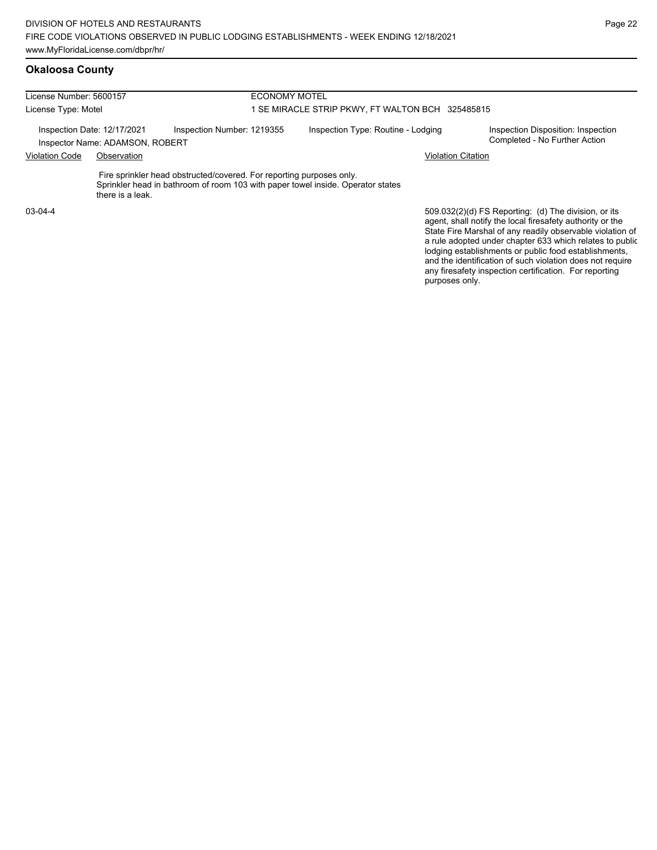| License Number: 5600157<br>License Type: Motel<br>Inspection Date: 12/17/2021<br>Inspector Name: ADAMSON, ROBERT |                  |                                                                                                                                                         | <b>ECONOMY MOTEL</b>                           |                                                                                                                                                                                                                                            |  |  |  |
|------------------------------------------------------------------------------------------------------------------|------------------|---------------------------------------------------------------------------------------------------------------------------------------------------------|------------------------------------------------|--------------------------------------------------------------------------------------------------------------------------------------------------------------------------------------------------------------------------------------------|--|--|--|
|                                                                                                                  |                  |                                                                                                                                                         | SE MIRACLE STRIP PKWY, FT WALTON BCH 325485815 |                                                                                                                                                                                                                                            |  |  |  |
|                                                                                                                  |                  | Inspection Number: 1219355                                                                                                                              | Inspection Type: Routine - Lodging             | Inspection Disposition: Inspection<br>Completed - No Further Action                                                                                                                                                                        |  |  |  |
| <b>Violation Code</b><br>Observation                                                                             |                  |                                                                                                                                                         | <b>Violation Citation</b>                      |                                                                                                                                                                                                                                            |  |  |  |
|                                                                                                                  | there is a leak. | Fire sprinkler head obstructed/covered. For reporting purposes only.<br>Sprinkler head in bathroom of room 103 with paper towel inside. Operator states |                                                |                                                                                                                                                                                                                                            |  |  |  |
| $03-04-4$                                                                                                        |                  |                                                                                                                                                         |                                                | 509.032(2)(d) FS Reporting: (d) The division, or its<br>agent, shall notify the local firesafety authority or the<br>State Fire Marshal of any readily observable violation of<br>a rule adopted under chapter 633 which relates to public |  |  |  |

lodging establishments or public food establishments, and the identification of such violation does not require any firesafety inspection certification. For reporting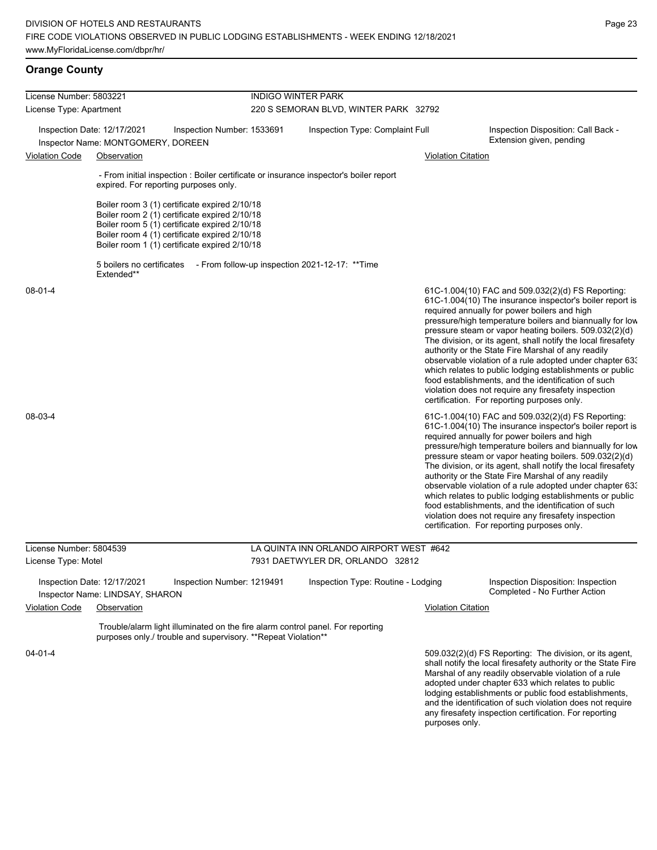## **Orange County**

| License Number: 5803221 |                                                                   |                                                                                                                                                                                                                                                   | <b>INDIGO WINTER PARK</b>               |                           |                                                                                                                                                                                                                                                                                                                                                                                                                                                                                                                                                                                                                                                                                                  |
|-------------------------|-------------------------------------------------------------------|---------------------------------------------------------------------------------------------------------------------------------------------------------------------------------------------------------------------------------------------------|-----------------------------------------|---------------------------|--------------------------------------------------------------------------------------------------------------------------------------------------------------------------------------------------------------------------------------------------------------------------------------------------------------------------------------------------------------------------------------------------------------------------------------------------------------------------------------------------------------------------------------------------------------------------------------------------------------------------------------------------------------------------------------------------|
| License Type: Apartment |                                                                   |                                                                                                                                                                                                                                                   | 220 S SEMORAN BLVD, WINTER PARK 32792   |                           |                                                                                                                                                                                                                                                                                                                                                                                                                                                                                                                                                                                                                                                                                                  |
|                         | Inspection Date: 12/17/2021<br>Inspector Name: MONTGOMERY, DOREEN | Inspection Number: 1533691                                                                                                                                                                                                                        | Inspection Type: Complaint Full         |                           | Inspection Disposition: Call Back -<br>Extension given, pending                                                                                                                                                                                                                                                                                                                                                                                                                                                                                                                                                                                                                                  |
| <b>Violation Code</b>   | Observation                                                       |                                                                                                                                                                                                                                                   |                                         | <b>Violation Citation</b> |                                                                                                                                                                                                                                                                                                                                                                                                                                                                                                                                                                                                                                                                                                  |
|                         |                                                                   | - From initial inspection : Boiler certificate or insurance inspector's boiler report<br>expired. For reporting purposes only.                                                                                                                    |                                         |                           |                                                                                                                                                                                                                                                                                                                                                                                                                                                                                                                                                                                                                                                                                                  |
|                         |                                                                   | Boiler room 3 (1) certificate expired 2/10/18<br>Boiler room 2 (1) certificate expired 2/10/18<br>Boiler room 5 (1) certificate expired 2/10/18<br>Boiler room 4 (1) certificate expired 2/10/18<br>Boiler room 1 (1) certificate expired 2/10/18 |                                         |                           |                                                                                                                                                                                                                                                                                                                                                                                                                                                                                                                                                                                                                                                                                                  |
|                         | Extended**                                                        | 5 boilers no certificates - From follow-up inspection 2021-12-17: **Time                                                                                                                                                                          |                                         |                           |                                                                                                                                                                                                                                                                                                                                                                                                                                                                                                                                                                                                                                                                                                  |
| 08-01-4                 |                                                                   |                                                                                                                                                                                                                                                   |                                         |                           | 61C-1.004(10) FAC and 509.032(2)(d) FS Reporting:<br>61C-1.004(10) The insurance inspector's boiler report is<br>required annually for power boilers and high<br>pressure/high temperature boilers and biannually for low<br>pressure steam or vapor heating boilers. 509.032(2)(d)<br>The division, or its agent, shall notify the local firesafety<br>authority or the State Fire Marshal of any readily<br>observable violation of a rule adopted under chapter 63.<br>which relates to public lodging establishments or public<br>food establishments, and the identification of such<br>violation does not require any firesafety inspection<br>certification. For reporting purposes only. |
| 08-03-4                 |                                                                   |                                                                                                                                                                                                                                                   |                                         |                           | 61C-1.004(10) FAC and 509.032(2)(d) FS Reporting:<br>61C-1.004(10) The insurance inspector's boiler report is<br>required annually for power boilers and high<br>pressure/high temperature boilers and biannually for low<br>pressure steam or vapor heating boilers. 509.032(2)(d)<br>The division, or its agent, shall notify the local firesafety<br>authority or the State Fire Marshal of any readily<br>observable violation of a rule adopted under chapter 63.<br>which relates to public lodging establishments or public<br>food establishments, and the identification of such<br>violation does not require any firesafety inspection<br>certification. For reporting purposes only. |
| License Number: 5804539 |                                                                   |                                                                                                                                                                                                                                                   | LA QUINTA INN ORLANDO AIRPORT WEST #642 |                           |                                                                                                                                                                                                                                                                                                                                                                                                                                                                                                                                                                                                                                                                                                  |
| License Type: Motel     |                                                                   |                                                                                                                                                                                                                                                   | 7931 DAETWYLER DR, ORLANDO 32812        |                           |                                                                                                                                                                                                                                                                                                                                                                                                                                                                                                                                                                                                                                                                                                  |
|                         | Inspection Date: 12/17/2021<br>Inspector Name: LINDSAY, SHARON    | Inspection Number: 1219491                                                                                                                                                                                                                        | Inspection Type: Routine - Lodging      |                           | Inspection Disposition: Inspection<br>Completed - No Further Action                                                                                                                                                                                                                                                                                                                                                                                                                                                                                                                                                                                                                              |
| Violation Code          | Observation                                                       | Trouble/alarm light illuminated on the fire alarm control panel. For reporting                                                                                                                                                                    |                                         | <b>Violation Citation</b> |                                                                                                                                                                                                                                                                                                                                                                                                                                                                                                                                                                                                                                                                                                  |
|                         |                                                                   | purposes only./ trouble and supervisory. **Repeat Violation**                                                                                                                                                                                     |                                         |                           |                                                                                                                                                                                                                                                                                                                                                                                                                                                                                                                                                                                                                                                                                                  |
| 04-01-4                 |                                                                   |                                                                                                                                                                                                                                                   |                                         |                           | 509.032(2)(d) FS Reporting: The division, or its agent,<br>shall notify the local firesafety authority or the State Fire<br>Marshal of any readily observable violation of a rule<br>adopted under chapter 633 which relates to public<br>lodging establishments or public food establishments,<br>and the identification of such violation does not require                                                                                                                                                                                                                                                                                                                                     |

any firesafety inspection certification. For reporting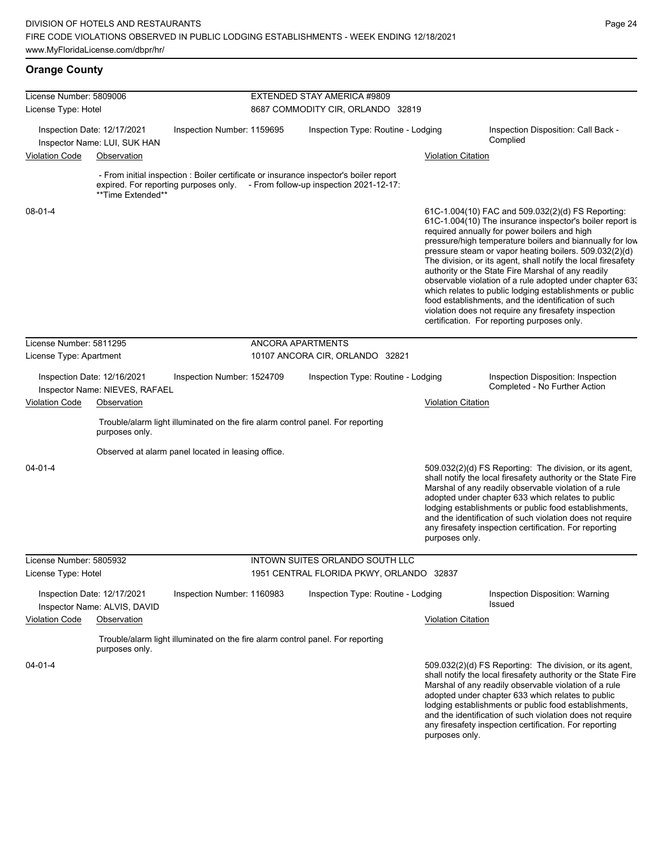| License Number: 5809006 |                                                               |                                                    |                                    | EXTENDED STAY AMERICA #9809                                                                                                                                            |                           |                                                                                                                                                                                                                                                                                                                                                                                                                                                                                                                                                                                                                                                                                                  |  |
|-------------------------|---------------------------------------------------------------|----------------------------------------------------|------------------------------------|------------------------------------------------------------------------------------------------------------------------------------------------------------------------|---------------------------|--------------------------------------------------------------------------------------------------------------------------------------------------------------------------------------------------------------------------------------------------------------------------------------------------------------------------------------------------------------------------------------------------------------------------------------------------------------------------------------------------------------------------------------------------------------------------------------------------------------------------------------------------------------------------------------------------|--|
| License Type: Hotel     |                                                               |                                                    | 8687 COMMODITY CIR, ORLANDO 32819  |                                                                                                                                                                        |                           |                                                                                                                                                                                                                                                                                                                                                                                                                                                                                                                                                                                                                                                                                                  |  |
|                         | Inspection Date: 12/17/2021                                   | Inspection Number: 1159695                         | Inspection Type: Routine - Lodging |                                                                                                                                                                        |                           | Inspection Disposition: Call Back -                                                                                                                                                                                                                                                                                                                                                                                                                                                                                                                                                                                                                                                              |  |
|                         | Inspector Name: LUI, SUK HAN                                  |                                                    |                                    |                                                                                                                                                                        |                           | Complied                                                                                                                                                                                                                                                                                                                                                                                                                                                                                                                                                                                                                                                                                         |  |
| <b>Violation Code</b>   | Observation                                                   |                                                    |                                    |                                                                                                                                                                        | <b>Violation Citation</b> |                                                                                                                                                                                                                                                                                                                                                                                                                                                                                                                                                                                                                                                                                                  |  |
|                         | **Time Extended**                                             |                                                    |                                    | - From initial inspection : Boiler certificate or insurance inspector's boiler report<br>expired. For reporting purposes only. - From follow-up inspection 2021-12-17: |                           |                                                                                                                                                                                                                                                                                                                                                                                                                                                                                                                                                                                                                                                                                                  |  |
| $08 - 01 - 4$           |                                                               |                                                    |                                    |                                                                                                                                                                        |                           | 61C-1.004(10) FAC and 509.032(2)(d) FS Reporting:<br>61C-1.004(10) The insurance inspector's boiler report is<br>required annually for power boilers and high<br>pressure/high temperature boilers and biannually for low<br>pressure steam or vapor heating boilers. 509.032(2)(d)<br>The division, or its agent, shall notify the local firesafety<br>authority or the State Fire Marshal of any readily<br>observable violation of a rule adopted under chapter 63.<br>which relates to public lodging establishments or public<br>food establishments, and the identification of such<br>violation does not require any firesafety inspection<br>certification. For reporting purposes only. |  |
| License Number: 5811295 |                                                               |                                                    |                                    | <b>ANCORA APARTMENTS</b>                                                                                                                                               |                           |                                                                                                                                                                                                                                                                                                                                                                                                                                                                                                                                                                                                                                                                                                  |  |
| License Type: Apartment |                                                               |                                                    |                                    | 10107 ANCORA CIR, ORLANDO 32821                                                                                                                                        |                           |                                                                                                                                                                                                                                                                                                                                                                                                                                                                                                                                                                                                                                                                                                  |  |
|                         | Inspection Date: 12/16/2021<br>Inspector Name: NIEVES, RAFAEL | Inspection Number: 1524709                         |                                    | Inspection Type: Routine - Lodging                                                                                                                                     |                           | Inspection Disposition: Inspection<br>Completed - No Further Action                                                                                                                                                                                                                                                                                                                                                                                                                                                                                                                                                                                                                              |  |
| <b>Violation Code</b>   | Observation                                                   |                                                    |                                    |                                                                                                                                                                        | <b>Violation Citation</b> |                                                                                                                                                                                                                                                                                                                                                                                                                                                                                                                                                                                                                                                                                                  |  |
|                         | purposes only.                                                |                                                    |                                    | Trouble/alarm light illuminated on the fire alarm control panel. For reporting                                                                                         |                           |                                                                                                                                                                                                                                                                                                                                                                                                                                                                                                                                                                                                                                                                                                  |  |
|                         |                                                               | Observed at alarm panel located in leasing office. |                                    |                                                                                                                                                                        |                           |                                                                                                                                                                                                                                                                                                                                                                                                                                                                                                                                                                                                                                                                                                  |  |
| $04 - 01 - 4$           |                                                               |                                                    |                                    |                                                                                                                                                                        | purposes only.            | 509.032(2)(d) FS Reporting: The division, or its agent,<br>shall notify the local firesafety authority or the State Fire<br>Marshal of any readily observable violation of a rule<br>adopted under chapter 633 which relates to public<br>lodging establishments or public food establishments,<br>and the identification of such violation does not require<br>any firesafety inspection certification. For reporting                                                                                                                                                                                                                                                                           |  |
| License Number: 5805932 |                                                               |                                                    |                                    | <b>INTOWN SUITES ORLANDO SOUTH LLC</b>                                                                                                                                 |                           |                                                                                                                                                                                                                                                                                                                                                                                                                                                                                                                                                                                                                                                                                                  |  |
| License Type: Hotel     |                                                               |                                                    |                                    | 1951 CENTRAL FLORIDA PKWY, ORLANDO 32837                                                                                                                               |                           |                                                                                                                                                                                                                                                                                                                                                                                                                                                                                                                                                                                                                                                                                                  |  |
|                         | Inspection Date: 12/17/2021<br>Inspector Name: ALVIS, DAVID   | Inspection Number: 1160983                         |                                    | Inspection Type: Routine - Lodging                                                                                                                                     |                           | Inspection Disposition: Warning<br>Issued                                                                                                                                                                                                                                                                                                                                                                                                                                                                                                                                                                                                                                                        |  |
| <b>Violation Code</b>   | Observation                                                   |                                                    |                                    |                                                                                                                                                                        | <b>Violation Citation</b> |                                                                                                                                                                                                                                                                                                                                                                                                                                                                                                                                                                                                                                                                                                  |  |
|                         | purposes only.                                                |                                                    |                                    | Trouble/alarm light illuminated on the fire alarm control panel. For reporting                                                                                         |                           |                                                                                                                                                                                                                                                                                                                                                                                                                                                                                                                                                                                                                                                                                                  |  |
| $04 - 01 - 4$           |                                                               |                                                    |                                    |                                                                                                                                                                        | purposes only.            | 509.032(2)(d) FS Reporting: The division, or its agent,<br>shall notify the local firesafety authority or the State Fire<br>Marshal of any readily observable violation of a rule<br>adopted under chapter 633 which relates to public<br>lodging establishments or public food establishments,<br>and the identification of such violation does not require<br>any firesafety inspection certification. For reporting                                                                                                                                                                                                                                                                           |  |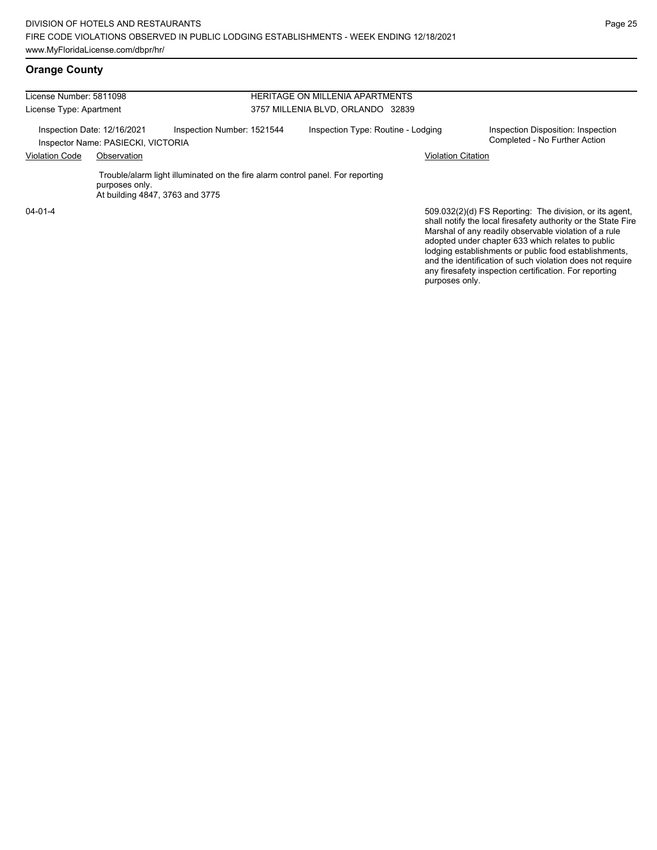#### **Orange County**

| License Number: 5811098<br>License Type: Apartment<br>Inspection Date: 12/16/2021<br>Inspector Name: PASIECKI, VICTORIA<br><b>Violation Code</b><br>Observation |                |                                                                                                                   | HERITAGE ON MILLENIA APARTMENTS<br>3757 MILLENIA BLVD, ORLANDO 32839 |                                                                                                                                                                                    |  |  |  |
|-----------------------------------------------------------------------------------------------------------------------------------------------------------------|----------------|-------------------------------------------------------------------------------------------------------------------|----------------------------------------------------------------------|------------------------------------------------------------------------------------------------------------------------------------------------------------------------------------|--|--|--|
|                                                                                                                                                                 |                | Inspection Number: 1521544                                                                                        | Inspection Type: Routine - Lodging                                   | Inspection Disposition: Inspection<br>Completed - No Further Action                                                                                                                |  |  |  |
|                                                                                                                                                                 |                |                                                                                                                   | <b>Violation Citation</b>                                            |                                                                                                                                                                                    |  |  |  |
|                                                                                                                                                                 | purposes only. | Trouble/alarm light illuminated on the fire alarm control panel. For reporting<br>At building 4847, 3763 and 3775 |                                                                      |                                                                                                                                                                                    |  |  |  |
| $04 - 01 - 4$                                                                                                                                                   |                |                                                                                                                   |                                                                      | 509.032(2)(d) FS Reporting: The division, or its agent,<br>shall notify the local firesafety authority or the State Fire<br>Marabal of any roadily aboan rable violation of a rule |  |  |  |

Marshal of any readily observable violation of a rule adopted under chapter 633 which relates to public lodging establishments or public food establishments, and the identification of such violation does not require any firesafety inspection certification. For reporting purposes only.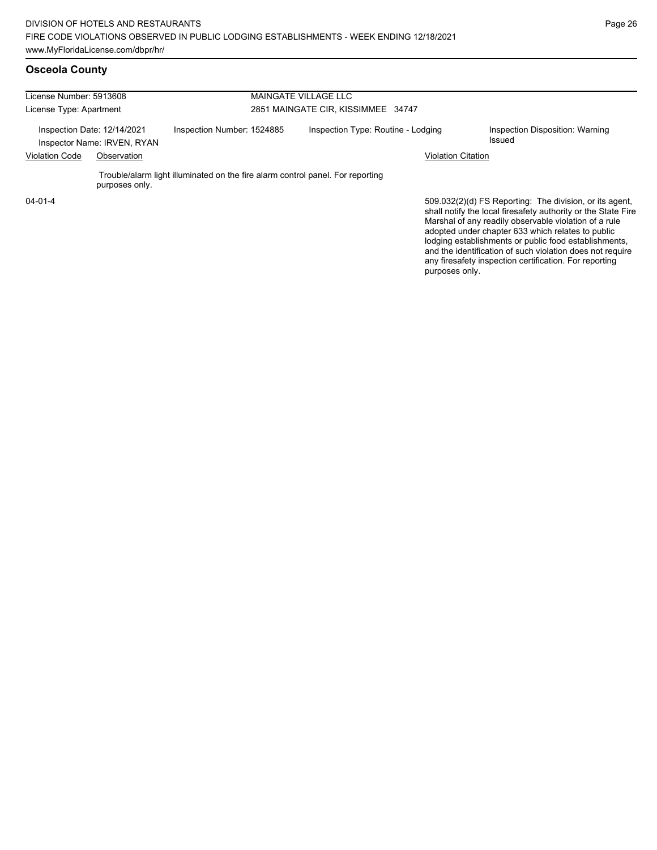## **Osceola County**

| License Number: 5913608<br>License Type: Apartment         |                |                                                                                | <b>MAINGATE VILLAGE LLC</b><br>2851 MAINGATE CIR, KISSIMMEE 34747 |                                                                                                                                                                                                                                        |  |  |  |
|------------------------------------------------------------|----------------|--------------------------------------------------------------------------------|-------------------------------------------------------------------|----------------------------------------------------------------------------------------------------------------------------------------------------------------------------------------------------------------------------------------|--|--|--|
|                                                            |                |                                                                                |                                                                   |                                                                                                                                                                                                                                        |  |  |  |
| Inspection Date: 12/14/2021<br>Inspector Name: IRVEN, RYAN |                | Inspection Number: 1524885                                                     | Inspection Type: Routine - Lodging                                | Inspection Disposition: Warning<br>Issued                                                                                                                                                                                              |  |  |  |
| <b>Violation Code</b><br>Observation                       |                |                                                                                | <b>Violation Citation</b>                                         |                                                                                                                                                                                                                                        |  |  |  |
|                                                            | purposes only. | Trouble/alarm light illuminated on the fire alarm control panel. For reporting |                                                                   |                                                                                                                                                                                                                                        |  |  |  |
| $04 - 01 - 4$                                              |                |                                                                                |                                                                   | 509.032(2)(d) FS Reporting: The division, or its agent,<br>shall notify the local firesafety authority or the State Fire<br>Marshal of any readily observable violation of a rule<br>adopted under chapter 633 which relates to public |  |  |  |

lodging establishments or public food establishments, and the identification of such violation does not require any firesafety inspection certification. For reporting purposes only.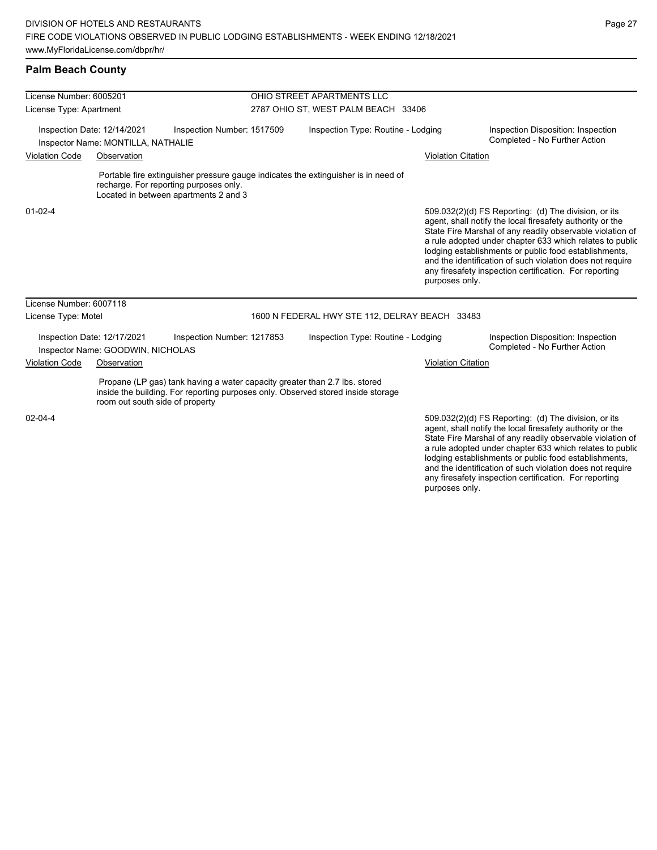## **Palm Beach County**

| License Number: 6005201 |                                                                   |                                                                                 | OHIO STREET APARTMENTS LLC          |                                                                                    |                           |                                                                                                                                                                                                                                                                                                                                                                                                                            |  |  |
|-------------------------|-------------------------------------------------------------------|---------------------------------------------------------------------------------|-------------------------------------|------------------------------------------------------------------------------------|---------------------------|----------------------------------------------------------------------------------------------------------------------------------------------------------------------------------------------------------------------------------------------------------------------------------------------------------------------------------------------------------------------------------------------------------------------------|--|--|
| License Type: Apartment |                                                                   |                                                                                 | 2787 OHIO ST, WEST PALM BEACH 33406 |                                                                                    |                           |                                                                                                                                                                                                                                                                                                                                                                                                                            |  |  |
|                         | Inspection Date: 12/14/2021<br>Inspector Name: MONTILLA, NATHALIE | Inspection Number: 1517509                                                      |                                     | Inspection Type: Routine - Lodging                                                 |                           | Inspection Disposition: Inspection<br>Completed - No Further Action                                                                                                                                                                                                                                                                                                                                                        |  |  |
| <b>Violation Code</b>   | Observation                                                       |                                                                                 |                                     |                                                                                    | <b>Violation Citation</b> |                                                                                                                                                                                                                                                                                                                                                                                                                            |  |  |
|                         |                                                                   | recharge. For reporting purposes only.<br>Located in between apartments 2 and 3 |                                     | Portable fire extinguisher pressure gauge indicates the extinguisher is in need of |                           |                                                                                                                                                                                                                                                                                                                                                                                                                            |  |  |
| $01 - 02 - 4$           |                                                                   |                                                                                 |                                     |                                                                                    | purposes only.            | 509.032(2)(d) FS Reporting: (d) The division, or its<br>agent, shall notify the local firesafety authority or the<br>State Fire Marshal of any readily observable violation of<br>a rule adopted under chapter 633 which relates to public<br>lodging establishments or public food establishments,<br>and the identification of such violation does not require<br>any firesafety inspection certification. For reporting |  |  |
| License Number: 6007118 |                                                                   |                                                                                 |                                     |                                                                                    |                           |                                                                                                                                                                                                                                                                                                                                                                                                                            |  |  |
| License Type: Motel     |                                                                   |                                                                                 |                                     | 1600 N FEDERAL HWY STE 112, DELRAY BEACH 33483                                     |                           |                                                                                                                                                                                                                                                                                                                                                                                                                            |  |  |
|                         | Inspection Date: 12/17/2021<br>Inspector Name: GOODWIN, NICHOLAS  | Inspection Number: 1217853                                                      |                                     | Inspection Type: Routine - Lodging                                                 |                           | Inspection Disposition: Inspection<br>Completed - No Further Action                                                                                                                                                                                                                                                                                                                                                        |  |  |
| <b>Violation Code</b>   | Observation                                                       |                                                                                 |                                     |                                                                                    | <b>Violation Citation</b> |                                                                                                                                                                                                                                                                                                                                                                                                                            |  |  |
|                         | room out south side of property                                   | Propane (LP gas) tank having a water capacity greater than 2.7 lbs. stored      |                                     | inside the building. For reporting purposes only. Observed stored inside storage   |                           |                                                                                                                                                                                                                                                                                                                                                                                                                            |  |  |
| $02 - 04 - 4$           |                                                                   |                                                                                 |                                     |                                                                                    |                           | 509.032(2)(d) FS Reporting: (d) The division, or its<br>agent, shall notify the local firesafety authority or the<br>State Fire Marshal of any readily observable violation of<br>a rule adopted under chapter 633 which relates to public<br>lodging establishments or public food establishments,<br>and the identification of such violation does not require                                                           |  |  |

any firesafety inspection certification. For reporting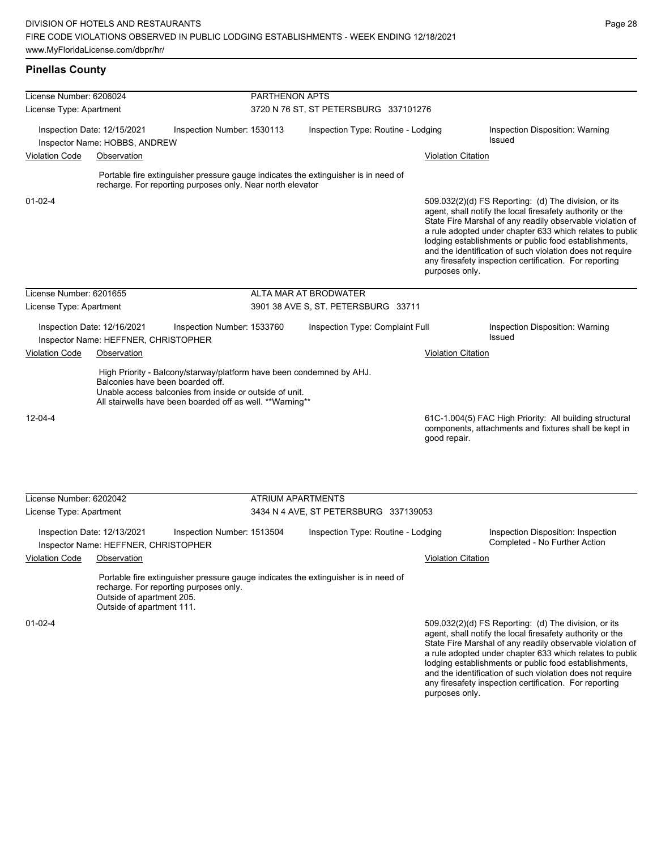# **Pinellas County**

| License Number: 6206024 |                                                                                                                                                           |                            | PARTHENON APTS<br>3720 N 76 ST, ST PETERSBURG 337101276                            |                           |                                                                                                                                                                                                                                                                                                                                                                                                                            |  |  |  |
|-------------------------|-----------------------------------------------------------------------------------------------------------------------------------------------------------|----------------------------|------------------------------------------------------------------------------------|---------------------------|----------------------------------------------------------------------------------------------------------------------------------------------------------------------------------------------------------------------------------------------------------------------------------------------------------------------------------------------------------------------------------------------------------------------------|--|--|--|
| License Type: Apartment |                                                                                                                                                           |                            |                                                                                    |                           |                                                                                                                                                                                                                                                                                                                                                                                                                            |  |  |  |
|                         | Inspection Date: 12/15/2021<br>Inspector Name: HOBBS, ANDREW                                                                                              | Inspection Number: 1530113 | Inspection Type: Routine - Lodging                                                 |                           | Inspection Disposition: Warning<br><b>Issued</b>                                                                                                                                                                                                                                                                                                                                                                           |  |  |  |
| <b>Violation Code</b>   | Observation                                                                                                                                               |                            |                                                                                    | <b>Violation Citation</b> |                                                                                                                                                                                                                                                                                                                                                                                                                            |  |  |  |
|                         | recharge. For reporting purposes only. Near north elevator                                                                                                |                            | Portable fire extinguisher pressure gauge indicates the extinguisher is in need of |                           |                                                                                                                                                                                                                                                                                                                                                                                                                            |  |  |  |
| $01 - 02 - 4$           |                                                                                                                                                           |                            |                                                                                    | purposes only.            | 509.032(2)(d) FS Reporting: (d) The division, or its<br>agent, shall notify the local firesafety authority or the<br>State Fire Marshal of any readily observable violation of<br>a rule adopted under chapter 633 which relates to public<br>lodging establishments or public food establishments,<br>and the identification of such violation does not require<br>any firesafety inspection certification. For reporting |  |  |  |
| License Number: 6201655 |                                                                                                                                                           |                            | ALTA MAR AT BRODWATER                                                              |                           |                                                                                                                                                                                                                                                                                                                                                                                                                            |  |  |  |
| License Type: Apartment |                                                                                                                                                           |                            | 3901 38 AVE S, ST. PETERSBURG 33711                                                |                           |                                                                                                                                                                                                                                                                                                                                                                                                                            |  |  |  |
|                         | Inspection Date: 12/16/2021<br>Inspector Name: HEFFNER, CHRISTOPHER                                                                                       | Inspection Number: 1533760 | Inspection Type: Complaint Full                                                    |                           | Inspection Disposition: Warning<br><b>Issued</b>                                                                                                                                                                                                                                                                                                                                                                           |  |  |  |
| <b>Violation Code</b>   | Observation                                                                                                                                               |                            |                                                                                    | <b>Violation Citation</b> |                                                                                                                                                                                                                                                                                                                                                                                                                            |  |  |  |
| 12-04-4                 | Balconies have been boarded off.<br>Unable access balconies from inside or outside of unit.<br>All stairwells have been boarded off as well. ** Warning** |                            |                                                                                    | good repair.              | 61C-1.004(5) FAC High Priority: All building structural<br>components, attachments and fixtures shall be kept in                                                                                                                                                                                                                                                                                                           |  |  |  |
| License Number: 6202042 |                                                                                                                                                           |                            | <b>ATRIUM APARTMENTS</b>                                                           |                           |                                                                                                                                                                                                                                                                                                                                                                                                                            |  |  |  |
| License Type: Apartment |                                                                                                                                                           |                            | 3434 N 4 AVE, ST PETERSBURG 337139053                                              |                           |                                                                                                                                                                                                                                                                                                                                                                                                                            |  |  |  |
|                         | Inspection Date: 12/13/2021<br>Inspector Name: HEFFNER, CHRISTOPHER                                                                                       | Inspection Number: 1513504 | Inspection Type: Routine - Lodging                                                 |                           | Inspection Disposition: Inspection<br>Completed - No Further Action                                                                                                                                                                                                                                                                                                                                                        |  |  |  |
| Violation Code          | Observation                                                                                                                                               |                            |                                                                                    | <b>Violation Citation</b> |                                                                                                                                                                                                                                                                                                                                                                                                                            |  |  |  |
|                         | recharge. For reporting purposes only.<br>Outside of apartment 205.<br>Outside of apartment 111.                                                          |                            | Portable fire extinguisher pressure gauge indicates the extinguisher is in need of |                           |                                                                                                                                                                                                                                                                                                                                                                                                                            |  |  |  |
| $01 - 02 - 4$           |                                                                                                                                                           |                            |                                                                                    |                           | 509.032(2)(d) FS Reporting: (d) The division, or its<br>agent, shall notify the local firesafety authority or the<br>State Fire Marshal of any readily observable violation of<br>a rule adopted under chapter 633 which relates to public<br>lodging establishments or public food establishments,<br>and the identification of such violation does not require<br>any firesafety inspection certification. For reporting |  |  |  |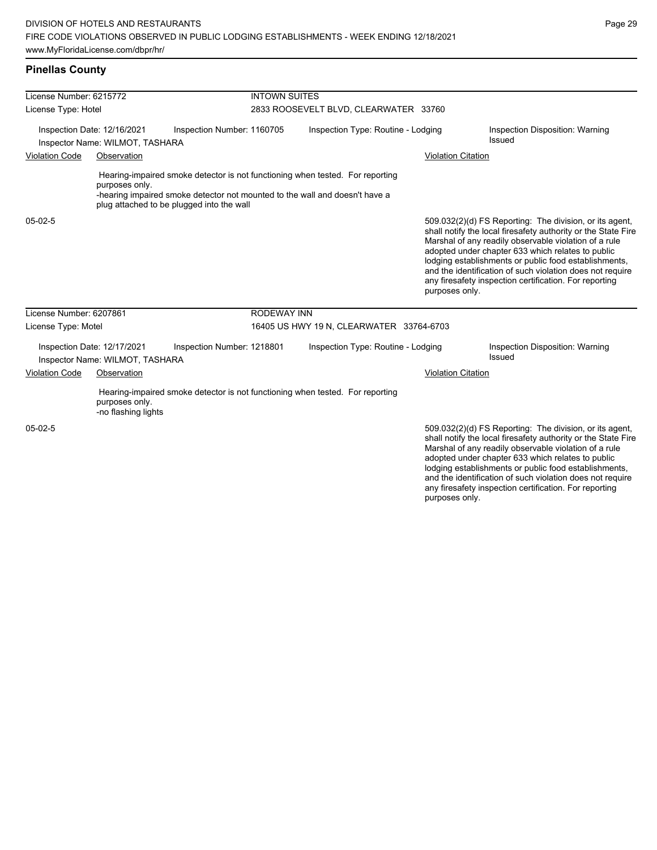| License Number: 6215772 |                                                                |                                                                                                                                                                                                           | <b>INTOWN SUITES</b>                  |  |                                          |                           |                                                                                                                                                                                                                                                                                                                                                                                                                        |  |
|-------------------------|----------------------------------------------------------------|-----------------------------------------------------------------------------------------------------------------------------------------------------------------------------------------------------------|---------------------------------------|--|------------------------------------------|---------------------------|------------------------------------------------------------------------------------------------------------------------------------------------------------------------------------------------------------------------------------------------------------------------------------------------------------------------------------------------------------------------------------------------------------------------|--|
| License Type: Hotel     |                                                                |                                                                                                                                                                                                           | 2833 ROOSEVELT BLVD, CLEARWATER 33760 |  |                                          |                           |                                                                                                                                                                                                                                                                                                                                                                                                                        |  |
|                         | Inspection Date: 12/16/2021<br>Inspector Name: WILMOT, TASHARA | Inspection Number: 1160705                                                                                                                                                                                |                                       |  | Inspection Type: Routine - Lodging       |                           | Inspection Disposition: Warning<br>Issued                                                                                                                                                                                                                                                                                                                                                                              |  |
| <b>Violation Code</b>   | Observation                                                    |                                                                                                                                                                                                           |                                       |  |                                          | <b>Violation Citation</b> |                                                                                                                                                                                                                                                                                                                                                                                                                        |  |
|                         | purposes only.                                                 | Hearing-impaired smoke detector is not functioning when tested. For reporting<br>-hearing impaired smoke detector not mounted to the wall and doesn't have a<br>plug attached to be plugged into the wall |                                       |  |                                          |                           |                                                                                                                                                                                                                                                                                                                                                                                                                        |  |
| $05-02-5$               |                                                                |                                                                                                                                                                                                           |                                       |  |                                          | purposes only.            | 509.032(2)(d) FS Reporting: The division, or its agent,<br>shall notify the local firesafety authority or the State Fire<br>Marshal of any readily observable violation of a rule<br>adopted under chapter 633 which relates to public<br>lodging establishments or public food establishments,<br>and the identification of such violation does not require<br>any firesafety inspection certification. For reporting |  |
| License Number: 6207861 |                                                                |                                                                                                                                                                                                           | <b>RODEWAY INN</b>                    |  |                                          |                           |                                                                                                                                                                                                                                                                                                                                                                                                                        |  |
| License Type: Motel     |                                                                |                                                                                                                                                                                                           |                                       |  | 16405 US HWY 19 N, CLEARWATER 33764-6703 |                           |                                                                                                                                                                                                                                                                                                                                                                                                                        |  |
|                         | Inspection Date: 12/17/2021<br>Inspector Name: WILMOT, TASHARA | Inspection Number: 1218801                                                                                                                                                                                |                                       |  | Inspection Type: Routine - Lodging       |                           | Inspection Disposition: Warning<br>Issued                                                                                                                                                                                                                                                                                                                                                                              |  |
| <b>Violation Code</b>   | Observation                                                    |                                                                                                                                                                                                           |                                       |  |                                          | <b>Violation Citation</b> |                                                                                                                                                                                                                                                                                                                                                                                                                        |  |
|                         | purposes only.<br>-no flashing lights                          | Hearing-impaired smoke detector is not functioning when tested. For reporting                                                                                                                             |                                       |  |                                          |                           |                                                                                                                                                                                                                                                                                                                                                                                                                        |  |
| $05-02-5$               |                                                                |                                                                                                                                                                                                           |                                       |  |                                          |                           | 509.032(2)(d) FS Reporting: The division, or its agent,<br>shall notify the local firesafety authority or the State Fire<br>Marshal of any readily observable violation of a rule<br>adopted under chapter 633 which relates to public<br>lodging establishments or public food establishments,<br>and the identification of such violation does not require                                                           |  |

any firesafety inspection certification. For reporting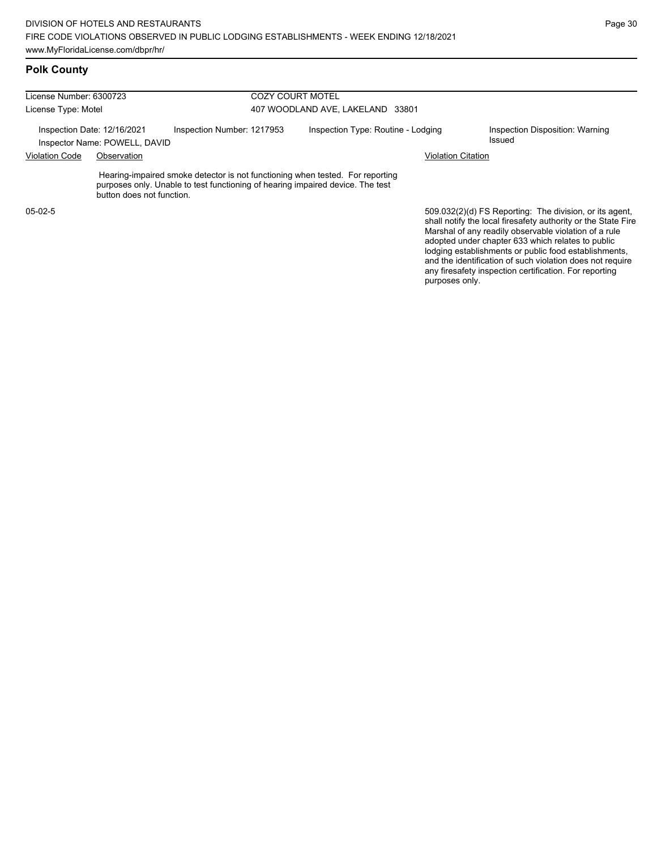| License Number: 6300723 |                                                              |                                                                                                                                                                 | <b>COZY COURT MOTEL</b>            |                                                                                                                                                                                                                                                                                                                                                              |  |  |  |
|-------------------------|--------------------------------------------------------------|-----------------------------------------------------------------------------------------------------------------------------------------------------------------|------------------------------------|--------------------------------------------------------------------------------------------------------------------------------------------------------------------------------------------------------------------------------------------------------------------------------------------------------------------------------------------------------------|--|--|--|
| License Type: Motel     |                                                              |                                                                                                                                                                 | 407 WOODLAND AVE, LAKELAND 33801   |                                                                                                                                                                                                                                                                                                                                                              |  |  |  |
|                         | Inspection Date: 12/16/2021<br>Inspector Name: POWELL, DAVID | Inspection Number: 1217953                                                                                                                                      | Inspection Type: Routine - Lodging | Inspection Disposition: Warning<br>Issued                                                                                                                                                                                                                                                                                                                    |  |  |  |
| <b>Violation Code</b>   | Observation                                                  |                                                                                                                                                                 | <b>Violation Citation</b>          |                                                                                                                                                                                                                                                                                                                                                              |  |  |  |
|                         | button does not function.                                    | Hearing-impaired smoke detector is not functioning when tested. For reporting<br>purposes only. Unable to test functioning of hearing impaired device. The test |                                    |                                                                                                                                                                                                                                                                                                                                                              |  |  |  |
| $05-02-5$               |                                                              |                                                                                                                                                                 |                                    | 509.032(2)(d) FS Reporting: The division, or its agent,<br>shall notify the local firesafety authority or the State Fire<br>Marshal of any readily observable violation of a rule<br>adopted under chapter 633 which relates to public<br>lodging establishments or public food establishments,<br>and the identification of such violation does not require |  |  |  |

any firesafety inspection certification. For reporting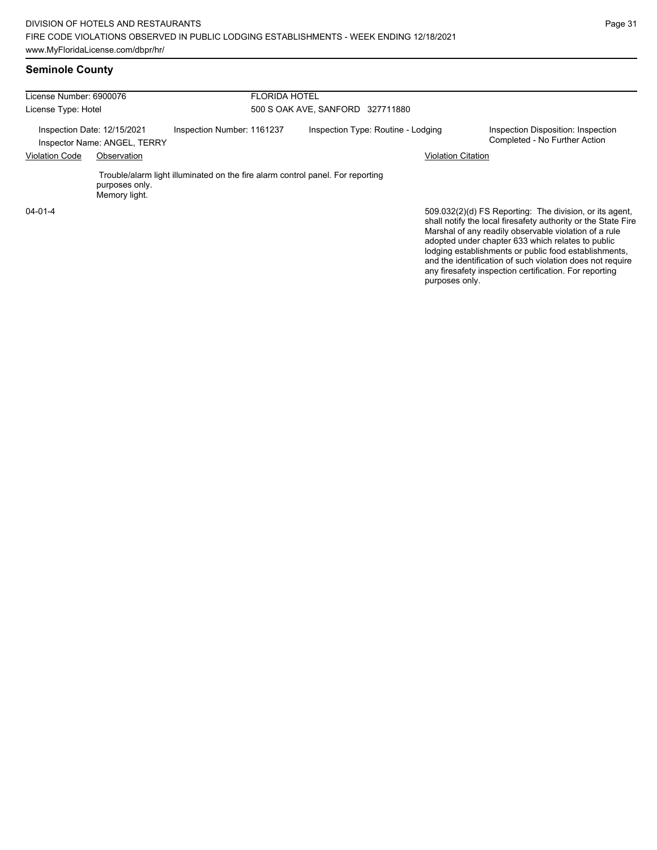## **Seminole County**

| License Number: 6900076                                     |                                 |                                                                                | <b>FLORIDA HOTEL</b><br>500 S OAK AVE, SANFORD 327711880 |                                                                                                                                                                                                                                        |  |  |  |
|-------------------------------------------------------------|---------------------------------|--------------------------------------------------------------------------------|----------------------------------------------------------|----------------------------------------------------------------------------------------------------------------------------------------------------------------------------------------------------------------------------------------|--|--|--|
| License Type: Hotel                                         |                                 |                                                                                |                                                          |                                                                                                                                                                                                                                        |  |  |  |
| Inspection Date: 12/15/2021<br>Inspector Name: ANGEL, TERRY |                                 | Inspection Number: 1161237                                                     | Inspection Type: Routine - Lodging                       | Inspection Disposition: Inspection<br>Completed - No Further Action                                                                                                                                                                    |  |  |  |
| <b>Violation Code</b>                                       | Observation                     |                                                                                |                                                          | <b>Violation Citation</b>                                                                                                                                                                                                              |  |  |  |
|                                                             | purposes only.<br>Memory light. | Trouble/alarm light illuminated on the fire alarm control panel. For reporting |                                                          |                                                                                                                                                                                                                                        |  |  |  |
| $04 - 01 - 4$                                               |                                 |                                                                                |                                                          | 509.032(2)(d) FS Reporting: The division, or its agent,<br>shall notify the local firesafety authority or the State Fire<br>Marshal of any readily observable violation of a rule<br>adopted under chapter 633 which relates to public |  |  |  |

lodging establishments or public food establishments, and the identification of such violation does not require any firesafety inspection certification. For reporting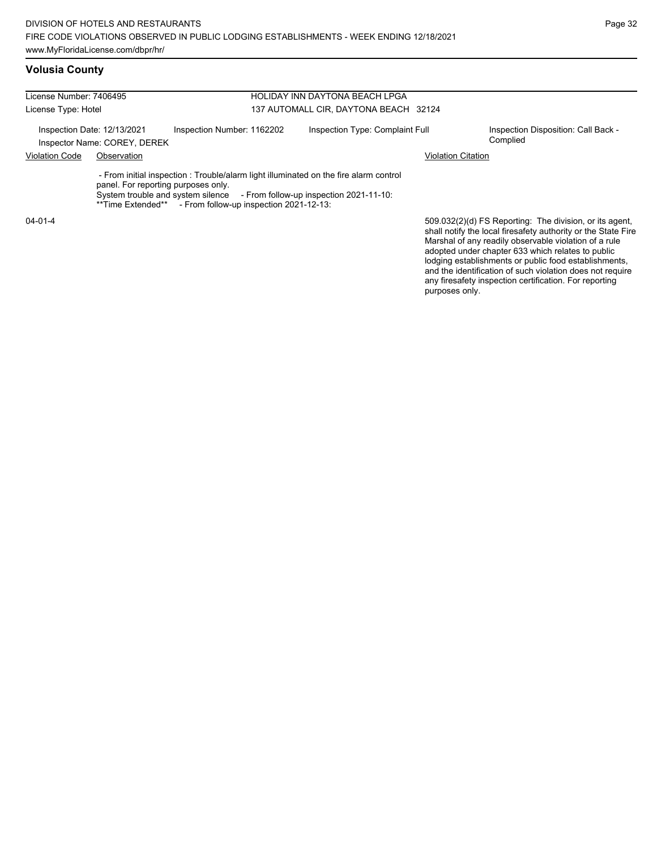| License Number: 7406495 |                                                             |                                                           | <b>HOLIDAY INN DAYTONA BEACH LPGA</b> |                                                                                                                                                                    |  |                                                                                                                                                                                                                                                                                                 |  |
|-------------------------|-------------------------------------------------------------|-----------------------------------------------------------|---------------------------------------|--------------------------------------------------------------------------------------------------------------------------------------------------------------------|--|-------------------------------------------------------------------------------------------------------------------------------------------------------------------------------------------------------------------------------------------------------------------------------------------------|--|
| License Type: Hotel     |                                                             |                                                           |                                       | 137 AUTOMALL CIR, DAYTONA BEACH 32124                                                                                                                              |  |                                                                                                                                                                                                                                                                                                 |  |
|                         | Inspection Date: 12/13/2021<br>Inspector Name: COREY, DEREK | Inspection Number: 1162202                                |                                       | Inspection Type: Complaint Full                                                                                                                                    |  | Inspection Disposition: Call Back -<br>Complied                                                                                                                                                                                                                                                 |  |
| <b>Violation Code</b>   | Observation                                                 |                                                           | <b>Violation Citation</b>             |                                                                                                                                                                    |  |                                                                                                                                                                                                                                                                                                 |  |
|                         | panel. For reporting purposes only.                         | **Time Extended** - From follow-up inspection 2021-12-13: |                                       | - From initial inspection : Trouble/alarm light illuminated on the fire alarm control<br>System trouble and system silence - From follow-up inspection 2021-11-10: |  |                                                                                                                                                                                                                                                                                                 |  |
| $04 - 01 - 4$           |                                                             |                                                           |                                       |                                                                                                                                                                    |  | 509.032(2)(d) FS Reporting: The division, or its agent,<br>shall notify the local firesafety authority or the State Fire<br>Marshal of any readily observable violation of a rule<br>adopted under chapter 633 which relates to public<br>lodging establishments or public food establishments, |  |

Page 32

and the identification of such violation does not require any firesafety inspection certification. For reporting